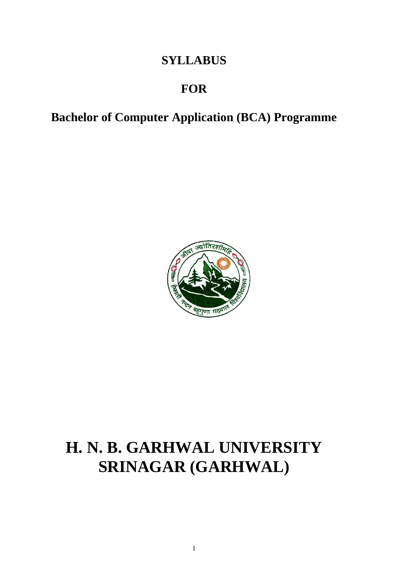# **SYLLABUS**

# **FOR**

**Bachelor of Computer Application (BCA) Programme**



# **H. N. B. GARHWAL UNIVERSITY SRINAGAR (GARHWAL)**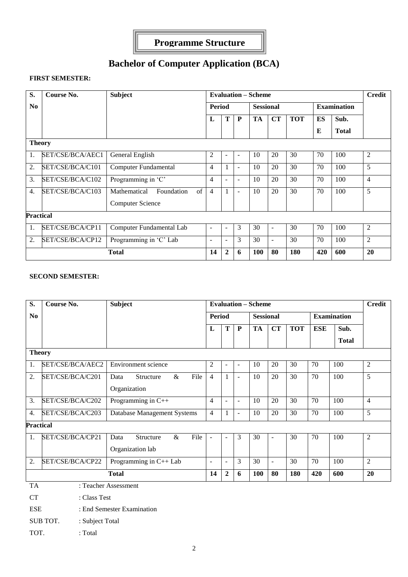

# **Bachelor of Computer Application (BCA)**

#### **FIRST SEMESTER:**

| S.               | Course No.       | <b>Subject</b>                           |                          |              |   | <b>Evaluation – Scheme</b> |                          |            |           |                    | <b>Credit</b>  |
|------------------|------------------|------------------------------------------|--------------------------|--------------|---|----------------------------|--------------------------|------------|-----------|--------------------|----------------|
| N <sub>0</sub>   |                  |                                          | <b>Period</b>            |              |   | <b>Sessional</b>           |                          |            |           | <b>Examination</b> |                |
|                  |                  |                                          | L                        | T            | P | <b>TA</b>                  | CT                       | <b>TOT</b> | <b>ES</b> | Sub.               |                |
|                  |                  |                                          |                          |              |   |                            |                          |            | Е         | <b>Total</b>       |                |
| <b>Theory</b>    |                  |                                          |                          |              |   |                            |                          |            |           |                    |                |
| 1.               | SET/CSE/BCA/AEC1 | General English                          | $\overline{2}$           | ۰            | ۰ | 10                         | 20                       | 30         | 70        | 100                | 2              |
| 2.               | SET/CSE/BCA/C101 | Computer Fundamental                     | $\overline{4}$           |              | - | 10                         | 20                       | 30         | 70        | 100                | 5              |
| 3.               | SET/CSE/BCA/C102 | Programming in 'C'                       | 4                        | ۰            | ۰ | 10                         | 20                       | 30         | 70        | 100                | $\overline{4}$ |
| 4.               | SET/CSE/BCA/C103 | $\sigma$ f<br>Mathematical<br>Foundation | 4                        |              | ۰ | 10                         | 20                       | 30         | 70        | 100                | 5              |
|                  |                  | <b>Computer Science</b>                  |                          |              |   |                            |                          |            |           |                    |                |
| <b>Practical</b> |                  |                                          |                          |              |   |                            |                          |            |           |                    |                |
| 1.               | SET/CSE/BCA/CP11 | Computer Fundamental Lab                 | ٠                        | ۰            | 3 | 30                         | $\overline{\phantom{a}}$ | 30         | 70        | 100                | 2              |
| 2.               | SET/CSE/BCA/CP12 | Programming in 'C' Lab                   | $\overline{\phantom{a}}$ | ۰            | 3 | 30                         | $\blacksquare$           | 30         | 70        | 100                | 2              |
|                  |                  | <b>Total</b>                             | 14                       | $\mathbf{2}$ | 6 | 100                        | 80                       | 180        | 420       | 600                | 20             |

# **SECOND SEMESTER:**

| S.               | <b>Course No.</b>           | <b>Subject</b>                    | <b>Evaluation - Scheme</b> |                |                          |                  |                          |            |            |                    |                |  |
|------------------|-----------------------------|-----------------------------------|----------------------------|----------------|--------------------------|------------------|--------------------------|------------|------------|--------------------|----------------|--|
| N <sub>0</sub>   |                             |                                   | Period                     |                |                          | <b>Sessional</b> |                          |            |            | <b>Examination</b> |                |  |
|                  |                             |                                   | L                          | T              | ${\bf P}$                | <b>TA</b>        | CT                       | <b>TOT</b> | <b>ESE</b> | Sub.               |                |  |
|                  |                             |                                   |                            |                |                          |                  |                          |            |            | <b>Total</b>       |                |  |
| <b>Theory</b>    |                             |                                   |                            |                |                          |                  |                          |            |            |                    |                |  |
| 1.               | SET/CSE/BCA/AEC2            | Environment science               | $\overline{2}$             | $\overline{a}$ | $\overline{a}$           | 10               | 20                       | 30         | 70         | 100                | $\overline{2}$ |  |
| 2.               | SET/CSE/BCA/C201            | File<br>Structure<br>$\&$<br>Data | $\overline{4}$             | 1              | $\overline{\phantom{0}}$ | 10               | 20                       | 30         | 70         | 100                | 5              |  |
|                  |                             | Organization                      |                            |                |                          |                  |                          |            |            |                    |                |  |
| 3.               | SET/CSE/BCA/C202            | Programming in $C++$              | $\overline{4}$             | ÷.             | L,                       | 10               | 20                       | 30         | 70         | 100                | $\overline{4}$ |  |
| 4.               | SET/CSE/BCA/C203            | Database Management Systems       | $\overline{4}$             | $\mathbf{1}$   | ÷                        | 10               | 20                       | 30         | 70         | 100                | 5              |  |
| <b>Practical</b> |                             |                                   |                            |                |                          |                  |                          |            |            |                    |                |  |
| 1.               | SET/CSE/BCA/CP21            | File<br>Structure<br>$\&$<br>Data | $\overline{\phantom{a}}$   | ÷              | 3                        | 30               | $\overline{\phantom{a}}$ | 30         | 70         | 100                | $\mathfrak{2}$ |  |
|                  |                             | Organization lab                  |                            |                |                          |                  |                          |            |            |                    |                |  |
| 2.               | SET/CSE/BCA/CP22            | Programming in C++ Lab            | $\sim$                     | ÷              | 3                        | 30               | $\overline{\phantom{a}}$ | 30         | 70         | 100                | $\overline{2}$ |  |
|                  |                             | <b>Total</b>                      | 14                         | $\mathbf{2}$   | 6                        | <b>100</b>       | 80                       | 180        | 420        | 600                | 20             |  |
| <b>TA</b>        |                             | : Teacher Assessment              |                            |                |                          |                  |                          |            |            |                    |                |  |
| <b>CT</b>        | : Class Test                |                                   |                            |                |                          |                  |                          |            |            |                    |                |  |
| <b>ESE</b>       |                             | : End Semester Examination        |                            |                |                          |                  |                          |            |            |                    |                |  |
|                  | SUB TOT.<br>: Subject Total |                                   |                            |                |                          |                  |                          |            |            |                    |                |  |
| TOT.             | : Total                     |                                   |                            |                |                          |                  |                          |            |            |                    |                |  |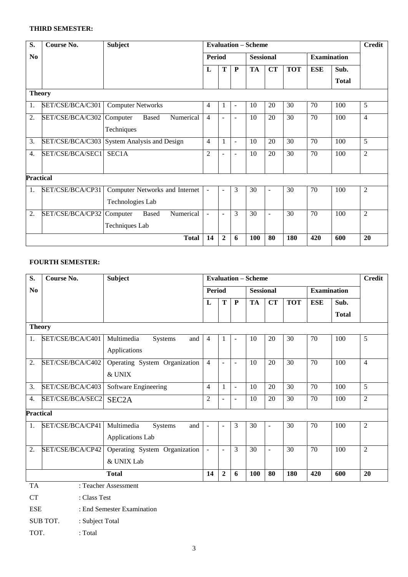## **THIRD SEMESTER:**

| S.             | Course No.                | <b>Subject</b>                              | <b>Evaluation – Scheme</b> |                |                          |                  |                |            |                    |              |                |
|----------------|---------------------------|---------------------------------------------|----------------------------|----------------|--------------------------|------------------|----------------|------------|--------------------|--------------|----------------|
| N <sub>0</sub> |                           |                                             | <b>Period</b>              |                |                          | <b>Sessional</b> |                |            | <b>Examination</b> |              |                |
|                |                           |                                             | L                          | T              | ${\bf P}$                | <b>TA</b>        | <b>CT</b>      | <b>TOT</b> | <b>ESE</b>         | Sub.         |                |
|                |                           |                                             |                            |                |                          |                  |                |            |                    | <b>Total</b> |                |
| <b>Theory</b>  |                           |                                             |                            |                |                          |                  |                |            |                    |              |                |
| 1.             | SET/CSE/BCA/C301          | <b>Computer Networks</b>                    | 4                          | 1              | $\blacksquare$           | 10               | 20             | 30         | 70                 | 100          | 5              |
| 2.             | SET/CSE/BCA/C302 Computer | Numerical<br><b>Based</b>                   | 4                          | $\sim$         | $\blacksquare$           | 10               | 20             | 30         | 70                 | 100          | $\overline{4}$ |
|                |                           | Techniques                                  |                            |                |                          |                  |                |            |                    |              |                |
| 3.             |                           | SET/CSE/BCA/C303 System Analysis and Design | 4                          | 1              | $\blacksquare$           | 10               | 20             | 30         | 70                 | 100          | 5              |
| 4.             | SET/CSE/BCA/SEC1          | SEC1A                                       | $\overline{2}$             | $\blacksquare$ | $\overline{\phantom{0}}$ | 10               | 20             | 30         | 70                 | 100          | $\overline{2}$ |
|                |                           |                                             |                            |                |                          |                  |                |            |                    |              |                |
| Practical      |                           |                                             |                            |                |                          |                  |                |            |                    |              |                |
| 1.             | SET/CSE/BCA/CP31          | Computer Networks and Internet              | ÷                          | $\blacksquare$ | 3                        | 30               | ÷,             | 30         | 70                 | 100          | $\overline{2}$ |
|                |                           | Technologies Lab                            |                            |                |                          |                  |                |            |                    |              |                |
| 2.             | SET/CSE/BCA/CP32 Computer | Numerical<br><b>Based</b>                   | ÷                          | $\sim$         | 3                        | 30               | $\blacksquare$ | 30         | 70                 | 100          | 2              |
|                |                           | Techniques Lab                              |                            |                |                          |                  |                |            |                    |              |                |
|                |                           | <b>Total</b>                                | 14                         | $\mathbf{2}$   | 6                        | 100              | 80             | 180        | 420                | 600          | 20             |

#### **FOURTH SEMESTER:**

| S.               | Course No.                         | <b>Subject</b>                | <b>Evaluation - Scheme</b> |                |                |                  |                          |                 |                 |                    |                |
|------------------|------------------------------------|-------------------------------|----------------------------|----------------|----------------|------------------|--------------------------|-----------------|-----------------|--------------------|----------------|
| N <sub>0</sub>   |                                    |                               | <b>Period</b>              |                |                | <b>Sessional</b> |                          |                 |                 | <b>Examination</b> |                |
|                  |                                    |                               | L                          | $\mathbf T$    | ${\bf P}$      | <b>TA</b>        | <b>CT</b>                | <b>TOT</b>      | <b>ESE</b>      | Sub.               |                |
|                  |                                    |                               |                            |                |                |                  |                          |                 |                 | <b>Total</b>       |                |
| <b>Theory</b>    |                                    |                               |                            |                |                |                  |                          |                 |                 |                    |                |
| 1.               | SET/CSE/BCA/C401                   | Multimedia<br>Systems<br>and  | $\overline{4}$             | 1              | $\overline{a}$ | 10               | 20                       | 30              | 70              | 100                | 5              |
|                  |                                    | Applications                  |                            |                |                |                  |                          |                 |                 |                    |                |
| 2.               | SET/CSE/BCA/C402                   | Operating System Organization | $\overline{4}$             | $\equiv$       | $\blacksquare$ | 10               | 20                       | 30              | 70              | 100                | $\overline{4}$ |
|                  |                                    | & UNIX                        |                            |                |                |                  |                          |                 |                 |                    |                |
| 3.               | SET/CSE/BCA/C403                   | <b>Software Engineering</b>   | $\overline{4}$             | $\mathbf{1}$   | $\blacksquare$ | 10               | $\overline{20}$          | $\overline{30}$ | $\overline{70}$ | 100                | $\overline{5}$ |
| $\overline{4}$ . | SET/CSE/BCA/SEC2                   | SEC <sub>2</sub> A            | $\overline{2}$             | $\sim$         | $\overline{a}$ | 10               | 20                       | 30              | 70              | 100                | $\overline{2}$ |
| <b>Practical</b> |                                    |                               |                            |                |                |                  |                          |                 |                 |                    |                |
| 1.               | SET/CSE/BCA/CP41                   | Multimedia<br>Systems<br>and  | $\overline{a}$             | $\sim$         | 3              | $\overline{30}$  | $\bar{\phantom{a}}$      | $\overline{30}$ | $\overline{70}$ | 100                | $\overline{2}$ |
|                  |                                    | Applications Lab              |                            |                |                |                  |                          |                 |                 |                    |                |
| 2.               | SET/CSE/BCA/CP42                   | Operating System Organization | $\blacksquare$             | $\blacksquare$ | 3              | 30               | $\overline{\phantom{a}}$ | 30              | 70              | 100                | $\overline{2}$ |
|                  |                                    | & UNIX Lab                    |                            |                |                |                  |                          |                 |                 |                    |                |
|                  |                                    | <b>Total</b>                  | 14                         | $\overline{2}$ | 6              | 100              | 80                       | 180             | 420             | 600                | 20             |
| <b>TA</b>        |                                    | : Teacher Assessment          |                            |                |                |                  |                          |                 |                 |                    |                |
| <b>CT</b>        | : Class Test                       |                               |                            |                |                |                  |                          |                 |                 |                    |                |
| <b>ESE</b>       |                                    | : End Semester Examination    |                            |                |                |                  |                          |                 |                 |                    |                |
|                  | <b>SUB TOT.</b><br>: Subject Total |                               |                            |                |                |                  |                          |                 |                 |                    |                |
| TOT.             | : Total                            |                               |                            |                |                |                  |                          |                 |                 |                    |                |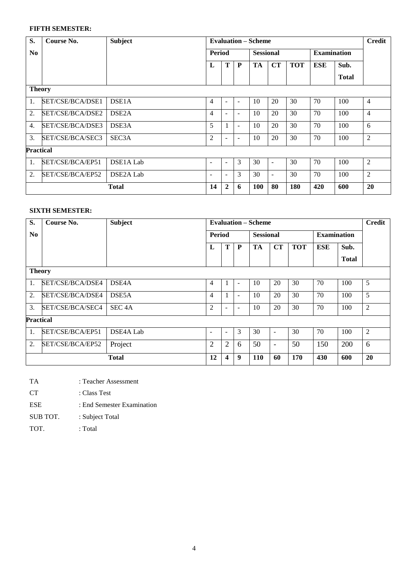# **FIFTH SEMESTER:**

| S.               | Course No.       | <b>Subject</b>         |                          |   |                          | <b>Evaluation – Scheme</b> |                          |            |                    |              | <b>Credit</b>  |
|------------------|------------------|------------------------|--------------------------|---|--------------------------|----------------------------|--------------------------|------------|--------------------|--------------|----------------|
| N <sub>0</sub>   |                  |                        | <b>Period</b>            |   |                          | <b>Sessional</b>           |                          |            | <b>Examination</b> |              |                |
|                  |                  |                        | L                        | T | $\mathbf{P}$             | <b>TA</b>                  | <b>CT</b>                | <b>TOT</b> | ESE                | Sub.         |                |
|                  |                  |                        |                          |   |                          |                            |                          |            |                    | <b>Total</b> |                |
| <b>Theory</b>    |                  |                        |                          |   |                          |                            |                          |            |                    |              |                |
| 1.               | SET/CSE/BCA/DSE1 | DSE1A                  | 4                        | ٠ | $\overline{\phantom{a}}$ | 10                         | 20                       | 30         | 70                 | 100          | $\overline{4}$ |
| $\overline{2}$ . | SET/CSE/BCA/DSE2 | DSE <sub>2</sub> A     | 4                        | ۰ | $\blacksquare$           | 10                         | 20                       | 30         | 70                 | 100          | 4              |
| $\overline{4}$ . | SET/CSE/BCA/DSE3 | DSE3A                  | 5                        |   | $\overline{\phantom{a}}$ | 10                         | 20                       | 30         | 70                 | 100          | 6              |
| 3.               | SET/CSE/BCA/SEC3 | SEC <sub>3</sub> A     | $\overline{2}$           | ۰ | $\overline{\phantom{0}}$ | 10                         | 20                       | 30         | 70                 | 100          | $\overline{2}$ |
| Practical        |                  |                        |                          |   |                          |                            |                          |            |                    |              |                |
| 1.               | SET/CSE/BCA/EP51 | DSE <sub>1</sub> A Lab | $\overline{\phantom{a}}$ | ۰ | 3                        | 30                         | $\overline{\phantom{a}}$ | 30         | 70                 | 100          | $\overline{2}$ |
| 2.               | SET/CSE/BCA/EP52 | DSE <sub>2</sub> A Lab | $\overline{\phantom{0}}$ | ۰ | 3                        | 30                         | $\overline{\phantom{a}}$ | 30         | 70                 | 100          | $\overline{2}$ |
|                  |                  | <b>Total</b>           | 14                       | 2 | 6                        | 100                        | 80                       | 180        | 420                | 600          | 20             |

#### **SIXTH SEMESTER:**

| S.               | Course No.       | Subject            | <b>Evaluation – Scheme</b> |                  |                          |                  |                          |            |                    | <b>Credit</b> |    |
|------------------|------------------|--------------------|----------------------------|------------------|--------------------------|------------------|--------------------------|------------|--------------------|---------------|----|
| N <sub>0</sub>   |                  |                    | Period<br>T<br>P<br>L      |                  |                          | <b>Sessional</b> |                          |            | <b>Examination</b> |               |    |
|                  |                  |                    |                            |                  |                          | <b>TA</b>        | CT                       | <b>TOT</b> | ESE                | Sub.          |    |
|                  |                  |                    |                            |                  |                          |                  |                          |            |                    | <b>Total</b>  |    |
| <b>Theory</b>    |                  |                    |                            |                  |                          |                  |                          |            |                    |               |    |
| 1.               | SET/CSE/BCA/DSE4 | DSE <sub>4</sub> A | 4                          |                  | $\overline{\phantom{0}}$ | 10               | 20                       | 30         | 70                 | 100           | 5  |
| 2.               | SET/CSE/BCA/DSE4 | DSE5A              | 4                          |                  | ٠                        | 10               | 20                       | 30         | 70                 | 100           | 5  |
| 3.               | SET/CSE/BCA/SEC4 | SEC <sub>4</sub> A | $\overline{2}$             |                  | ۰                        | 10               | 20                       | 30         | 70                 | 100           | 2  |
| <b>Practical</b> |                  |                    |                            |                  |                          |                  |                          |            |                    |               |    |
| 1.               | SET/CSE/BCA/EP51 | DSE4A Lab          | $\overline{\phantom{a}}$   | Ξ.               | 3                        | 30               | $\overline{\phantom{0}}$ | 30         | 70                 | 100           | 2  |
| 2.               | SET/CSE/BCA/EP52 | Project            | 2                          | 2                | 6                        | 50               | $\overline{\phantom{0}}$ | 50         | 150                | 200           | 6  |
|                  |                  | <b>Total</b>       | 12                         | $\boldsymbol{4}$ | 9                        | 110              | 60                       | 170        | 430                | 600           | 20 |

- TA : Teacher Assessment
- CT : Class Test
- ESE : End Semester Examination
- SUB TOT. : Subject Total
- TOT. : Total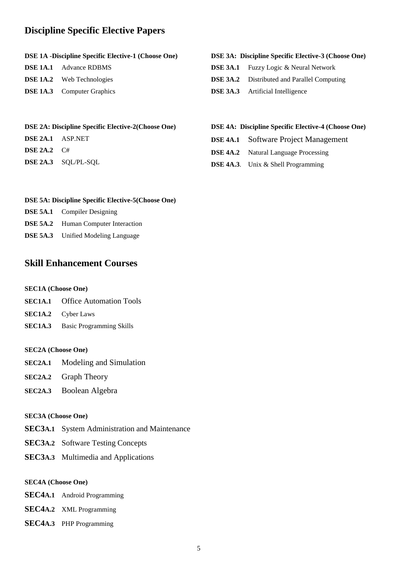# **Discipline Specific Elective Papers**

#### **DSE 1A -Discipline Specific Elective-1 (Choose One)**

| <b>DSE 1A.1</b> Advance RDBMS     |
|-----------------------------------|
| <b>DSE 1A.2</b> Web Technologies  |
| <b>DSE 1A.3</b> Computer Graphics |

#### **DSE 3A: Discipline Specific Elective-3 (Choose One)**

- **DSE 3A.1** Fuzzy Logic & Neural Network
- **DSE 3A.2** Distributed and Parallel Computing
- **DSE 3A.3** Artificial Intelligence

#### **DSE 2A: Discipline Specific Elective-2(Choose One)**

- **DSE 2A.1** ASP.NET
- **DSE 2A.2** C#
- **DSE 2A.3** SQL/PL-SQL

#### **DSE 4A: Discipline Specific Elective-4 (Choose One)**

- **DSE 4A.1** Software Project Management
- **DSE 4A.2** Natural Language Processing
- **DSE 4A.3**. Unix & Shell Programming

#### **DSE 5A: Discipline Specific Elective-5(Choose One)**

- **DSE 5A.1** Compiler Designing **DSE 5A.2** Human Computer Interaction
- **DSE 5A.3** Unified Modeling Language

# **Skill Enhancement Courses**

#### **SEC1A (Choose One)**

- **SEC1A.1** Office Automation Tools
- **SEC1A.2** Cyber Laws
- **SEC1A.3** Basic Programming Skills

#### **SEC2A (Choose One)**

- **SEC2A.1** Modeling and Simulation
- **SEC2A.2** Graph Theory
- **SEC2A.3** Boolean Algebra

#### **SEC3A (Choose One)**

- **SEC3A.1** System Administration and Maintenance
- **SEC3A.2** Software Testing Concepts
- **SEC3A.3** Multimedia and Applications

#### **SEC4A (Choose One)**

- **SEC4A.1** Android Programming
- **SEC4A.2** XML Programming
- **SEC4A.3** PHP Programming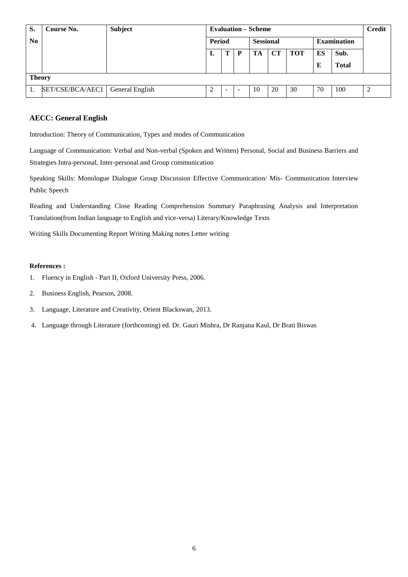| S.             | <b>Course No.</b> | <b>Subject</b>  |        |   |                  | <b>Evaluation – Scheme</b> |    |            |                    |              | <b>Credit</b> |
|----------------|-------------------|-----------------|--------|---|------------------|----------------------------|----|------------|--------------------|--------------|---------------|
| N <sub>0</sub> |                   |                 | Period |   | <b>Sessional</b> |                            |    |            | <b>Examination</b> |              |               |
|                |                   |                 | L      |   | D                | TA                         | CТ | <b>TOT</b> | ES                 | Sub.         |               |
|                |                   |                 |        |   |                  |                            |    |            | E                  | <b>Total</b> |               |
| <b>Theory</b>  |                   |                 |        |   |                  |                            |    |            |                    |              |               |
|                | SET/CSE/BCA/AEC1  | General English | ◠<br>∠ | - |                  | 10                         | 20 | 30         | 70                 | 100          |               |

## **AECC: General English**

Introduction: Theory of Communication, Types and modes of Communication

Language of Communication: Verbal and Non-verbal (Spoken and Written) Personal, Social and Business Barriers and Strategies Intra-personal, Inter-personal and Group communication

Speaking Skills: Monologue Dialogue Group Discussion Effective Communication/ Mis- Communication Interview Public Speech

Reading and Understanding Close Reading Comprehension Summary Paraphrasing Analysis and Interpretation Translation(from Indian language to English and vice-versa) Literary/Knowledge Texts

Writing Skills Documenting Report Writing Making notes Letter writing

- 1. Fluency in English Part II, Oxford University Press, 2006.
- 2. Business English, Pearson, 2008.
- 3. Language, Literature and Creativity, Orient Blackswan, 2013.
- 4. Language through Literature (forthcoming) ed. Dr. Gauri Mishra, Dr Ranjana Kaul, Dr Brati Biswas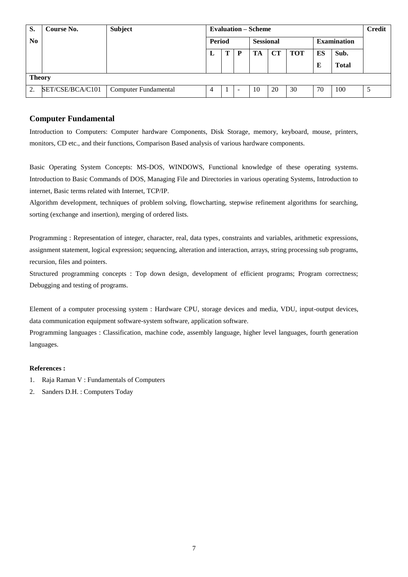| S.            | Course No.       | <b>Subject</b>              |        |   |                  | <b>Evaluation – Scheme</b> |    |     |                    |              | <b>Credit</b> |
|---------------|------------------|-----------------------------|--------|---|------------------|----------------------------|----|-----|--------------------|--------------|---------------|
| $\bf No$      |                  |                             | Period |   | <b>Sessional</b> |                            |    |     | <b>Examination</b> |              |               |
|               |                  |                             | L      | Т | P                | TA                         | CТ | TOT | ES                 | Sub.         |               |
|               |                  |                             |        |   |                  |                            |    |     | E                  | <b>Total</b> |               |
| <b>Theory</b> |                  |                             |        |   |                  |                            |    |     |                    |              |               |
| 2.            | SET/CSE/BCA/C101 | <b>Computer Fundamental</b> | 4      | 1 | -                | 10                         | 20 | 30  | 70                 | 100          |               |

## **Computer Fundamental**

Introduction to Computers: Computer hardware Components, Disk Storage, memory, keyboard, mouse, printers, monitors, CD etc., and their functions, Comparison Based analysis of various hardware components.

Basic Operating System Concepts: MS-DOS, WINDOWS, Functional knowledge of these operating systems. Introduction to Basic Commands of DOS, Managing File and Directories in various operating Systems, Introduction to internet, Basic terms related with Internet, TCP/IP.

Algorithm development, techniques of problem solving, flowcharting, stepwise refinement algorithms for searching, sorting (exchange and insertion), merging of ordered lists.

Programming : Representation of integer, character, real, data types, constraints and variables, arithmetic expressions, assignment statement, logical expression; sequencing, alteration and interaction, arrays, string processing sub programs, recursion, files and pointers.

Structured programming concepts : Top down design, development of efficient programs; Program correctness; Debugging and testing of programs.

Element of a computer processing system : Hardware CPU, storage devices and media, VDU, input-output devices, data communication equipment software-system software, application software.

Programming languages : Classification, machine code, assembly language, higher level languages, fourth generation languages.

- 1. Raja Raman V : Fundamentals of Computers
- 2. Sanders D.H. : Computers Today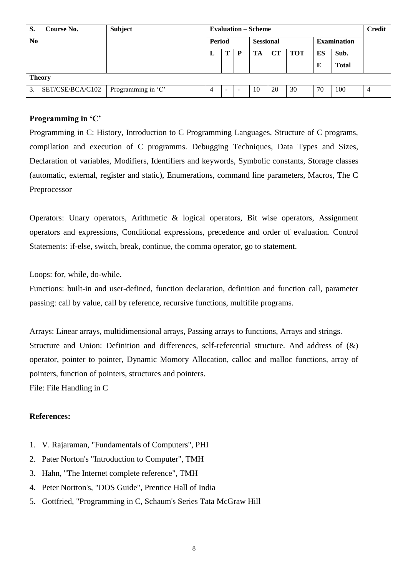| S.            | Course No.       | <b>Subject</b>     |        |   |                  | <b>Evaluation – Scheme</b> |    |            |                    |              | <b>Credit</b> |
|---------------|------------------|--------------------|--------|---|------------------|----------------------------|----|------------|--------------------|--------------|---------------|
| $\bf No$      |                  |                    | Period |   | <b>Sessional</b> |                            |    |            | <b>Examination</b> |              |               |
|               |                  |                    | L      | Т | D                | TA                         | CТ | <b>TOT</b> | ES                 | Sub.         |               |
|               |                  |                    |        |   |                  |                            |    |            | E                  | <b>Total</b> |               |
| <b>Theory</b> |                  |                    |        |   |                  |                            |    |            |                    |              |               |
| 3.            | SET/CSE/BCA/C102 | Programming in 'C' | 4      | - | -                | 10                         | 20 | 30         | 70                 | 100          | 4             |

# **Programming in 'C'**

Programming in C: History, Introduction to C Programming Languages, Structure of C programs, compilation and execution of C programms. Debugging Techniques, Data Types and Sizes, Declaration of variables, Modifiers, Identifiers and keywords, Symbolic constants, Storage classes (automatic, external, register and static), Enumerations, command line parameters, Macros, The C Preprocessor

Operators: Unary operators, Arithmetic & logical operators, Bit wise operators, Assignment operators and expressions, Conditional expressions, precedence and order of evaluation. Control Statements: if-else, switch, break, continue, the comma operator, go to statement.

Loops: for, while, do-while.

Functions: built-in and user-defined, function declaration, definition and function call, parameter passing: call by value, call by reference, recursive functions, multifile programs.

Arrays: Linear arrays, multidimensional arrays, Passing arrays to functions, Arrays and strings. Structure and Union: Definition and differences, self-referential structure. And address of (&) operator, pointer to pointer, Dynamic Momory Allocation, calloc and malloc functions, array of pointers, function of pointers, structures and pointers. File: File Handling in C

- 1. V. Rajaraman, "Fundamentals of Computers", PHI
- 2. Pater Norton's "Introduction to Computer", TMH
- 3. Hahn, "The Internet complete reference", TMH
- 4. Peter Nortton's, "DOS Guide", Prentice Hall of India
- 5. Gottfried, "Programming in C, Schaum's Series Tata McGraw Hill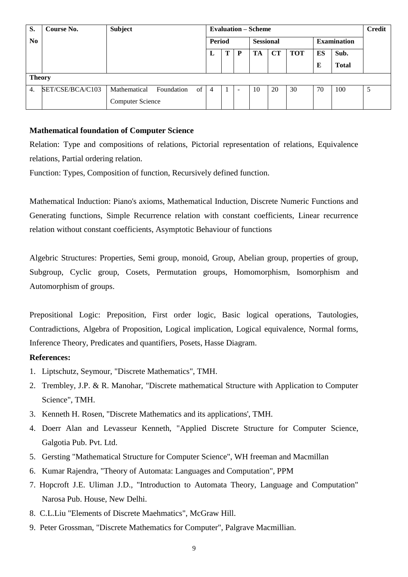| S.               | Course No.       | <b>Subject</b>          |            |    |                |        |   | <b>Evaluation – Scheme</b> |    |            |    |                    | <b>Credit</b> |
|------------------|------------------|-------------------------|------------|----|----------------|--------|---|----------------------------|----|------------|----|--------------------|---------------|
| N <sub>o</sub>   |                  |                         |            |    |                | Period |   | <b>Sessional</b>           |    |            |    | <b>Examination</b> |               |
|                  |                  |                         |            |    | L              | Т      | P | TA                         | CT | <b>TOT</b> | ES | Sub.               |               |
|                  |                  |                         |            |    |                |        |   |                            |    |            | E  | <b>Total</b>       |               |
| <b>Theory</b>    |                  |                         |            |    |                |        |   |                            |    |            |    |                    |               |
| $\overline{4}$ . | SET/CSE/BCA/C103 | Mathematical            | Foundation | of | $\overline{4}$ |        |   | 10                         | 20 | 30         | 70 | 100                | 5             |
|                  |                  | <b>Computer Science</b> |            |    |                |        |   |                            |    |            |    |                    |               |

# **Mathematical foundation of Computer Science**

Relation: Type and compositions of relations, Pictorial representation of relations, Equivalence relations, Partial ordering relation.

Function: Types, Composition of function, Recursively defined function.

Mathematical Induction: Piano's axioms, Mathematical Induction, Discrete Numeric Functions and Generating functions, Simple Recurrence relation with constant coefficients, Linear recurrence relation without constant coefficients, Asymptotic Behaviour of functions

Algebric Structures: Properties, Semi group, monoid, Group, Abelian group, properties of group, Subgroup, Cyclic group, Cosets, Permutation groups, Homomorphism, Isomorphism and Automorphism of groups.

Prepositional Logic: Preposition, First order logic, Basic logical operations, Tautologies, Contradictions, Algebra of Proposition, Logical implication, Logical equivalence, Normal forms, Inference Theory, Predicates and quantifiers, Posets, Hasse Diagram.

- 1. Liptschutz, Seymour, "Discrete Mathematics", TMH.
- 2. Trembley, J.P. & R. Manohar, "Discrete mathematical Structure with Application to Computer Science", TMH.
- 3. Kenneth H. Rosen, "Discrete Mathematics and its applications', TMH.
- 4. Doerr Alan and Levasseur Kenneth, "Applied Discrete Structure for Computer Science, Galgotia Pub. Pvt. Ltd.
- 5. Gersting "Mathematical Structure for Computer Science", WH freeman and Macmillan
- 6. Kumar Rajendra, "Theory of Automata: Languages and Computation", PPM
- 7. Hopcroft J.E. Uliman J.D., "Introduction to Automata Theory, Language and Computation" Narosa Pub. House, New Delhi.
- 8. C.L.Liu "Elements of Discrete Maehmatics", McGraw Hill.
- 9. Peter Grossman, "Discrete Mathematics for Computer", Palgrave Macmillian.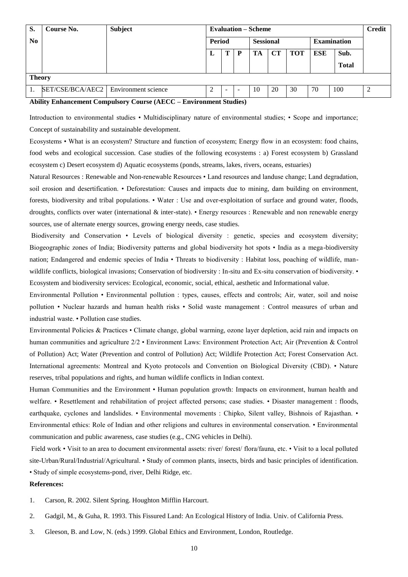| S.            | Course No.                             | <b>Subject</b> |        |   |                  | <b>Evaluation – Scheme</b> |    |            |                    |              | <b>Credit</b> |
|---------------|----------------------------------------|----------------|--------|---|------------------|----------------------------|----|------------|--------------------|--------------|---------------|
| $\bf No$      |                                        |                | Period |   | <b>Sessional</b> |                            |    |            | <b>Examination</b> |              |               |
|               |                                        |                | L      |   | P                | TA                         | CT | <b>TOT</b> | <b>ESE</b>         | Sub.         |               |
|               |                                        |                |        |   |                  |                            |    |            |                    | <b>Total</b> |               |
| <b>Theory</b> |                                        |                |        |   |                  |                            |    |            |                    |              |               |
|               | SET/CSE/BCA/AEC2   Environment science |                | 2      | - |                  | 10                         | 20 | 30         | 70                 | 100          |               |

#### **Ability Enhancement Compulsory Course (AECC – Environment Studies)**

Introduction to environmental studies • Multidisciplinary nature of environmental studies; • Scope and importance; Concept of sustainability and sustainable development.

Ecosystems • What is an ecosystem? Structure and function of ecosystem; Energy flow in an ecosystem: food chains, food webs and ecological succession. Case studies of the following ecosystems : a) Forest ecosystem b) Grassland ecosystem c) Desert ecosystem d) Aquatic ecosystems (ponds, streams, lakes, rivers, oceans, estuaries)

Natural Resources : Renewable and Non-renewable Resources • Land resources and landuse change; Land degradation, soil erosion and desertification. • Deforestation: Causes and impacts due to mining, dam building on environment, forests, biodiversity and tribal populations. • Water : Use and over-exploitation of surface and ground water, floods, droughts, conflicts over water (international & inter-state). • Energy resources : Renewable and non renewable energy sources, use of alternate energy sources, growing energy needs, case studies.

Biodiversity and Conservation • Levels of biological diversity : genetic, species and ecosystem diversity; Biogeographic zones of India; Biodiversity patterns and global biodiversity hot spots • India as a mega-biodiversity nation; Endangered and endemic species of India • Threats to biodiversity : Habitat loss, poaching of wildlife, manwildlife conflicts, biological invasions; Conservation of biodiversity : In-situ and Ex-situ conservation of biodiversity. • Ecosystem and biodiversity services: Ecological, economic, social, ethical, aesthetic and Informational value.

Environmental Pollution • Environmental pollution : types, causes, effects and controls; Air, water, soil and noise pollution • Nuclear hazards and human health risks • Solid waste management : Control measures of urban and industrial waste. • Pollution case studies.

Environmental Policies & Practices • Climate change, global warming, ozone layer depletion, acid rain and impacts on human communities and agriculture 2/2 • Environment Laws: Environment Protection Act; Air (Prevention & Control of Pollution) Act; Water (Prevention and control of Pollution) Act; Wildlife Protection Act; Forest Conservation Act. International agreements: Montreal and Kyoto protocols and Convention on Biological Diversity (CBD). • Nature reserves, tribal populations and rights, and human wildlife conflicts in Indian context.

Human Communities and the Environment • Human population growth: Impacts on environment, human health and welfare. • Resettlement and rehabilitation of project affected persons; case studies. • Disaster management : floods, earthquake, cyclones and landslides. • Environmental movements : Chipko, Silent valley, Bishnois of Rajasthan. • Environmental ethics: Role of Indian and other religions and cultures in environmental conservation. • Environmental communication and public awareness, case studies (e.g., CNG vehicles in Delhi).

Field work • Visit to an area to document environmental assets: river/ forest/ flora/fauna, etc. • Visit to a local polluted site-Urban/Rural/Industrial/Agricultural. • Study of common plants, insects, birds and basic principles of identification. • Study of simple ecosystems-pond, river, Delhi Ridge, etc.

- 1. Carson, R. 2002. Silent Spring. Houghton Mifflin Harcourt.
- 2. Gadgil, M., & Guha, R. 1993. This Fissured Land: An Ecological History of India. Univ. of California Press.
- 3. Gleeson, B. and Low, N. (eds.) 1999. Global Ethics and Environment, London, Routledge.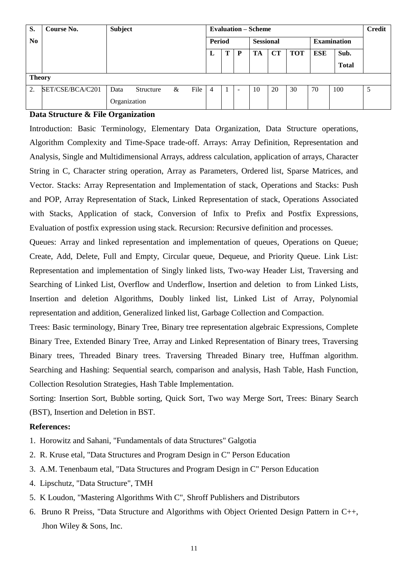| S.             | Course No.       | <b>Subject</b> |           |        |      |   |                  |                          | <b>Evaluation – Scheme</b> |    |                    |            |              | <b>Credit</b> |
|----------------|------------------|----------------|-----------|--------|------|---|------------------|--------------------------|----------------------------|----|--------------------|------------|--------------|---------------|
| N <sub>0</sub> |                  |                |           | Period |      |   | <b>Sessional</b> |                          |                            |    | <b>Examination</b> |            |              |               |
|                |                  |                |           |        |      | L | т                | P                        | TA                         | CТ | <b>TOT</b>         | <b>ESE</b> | Sub.         |               |
|                |                  |                |           |        |      |   |                  |                          |                            |    |                    |            | <b>Total</b> |               |
| <b>Theory</b>  |                  |                |           |        |      |   |                  |                          |                            |    |                    |            |              |               |
| $\gamma$       | SET/CSE/BCA/C201 | Data           | Structure | &      | File | 4 | 1                | $\overline{\phantom{0}}$ | 10                         | 20 | 30                 | 70         | 100          | -5            |
|                |                  | Organization   |           |        |      |   |                  |                          |                            |    |                    |            |              |               |

# **Data Structure & File Organization**

Introduction: Basic Terminology, Elementary Data Organization, Data Structure operations, Algorithm Complexity and Time-Space trade-off. Arrays: Array Definition, Representation and Analysis, Single and Multidimensional Arrays, address calculation, application of arrays, Character String in C, Character string operation, Array as Parameters, Ordered list, Sparse Matrices, and Vector. Stacks: Array Representation and Implementation of stack, Operations and Stacks: Push and POP, Array Representation of Stack, Linked Representation of stack, Operations Associated with Stacks, Application of stack, Conversion of Infix to Prefix and Postfix Expressions, Evaluation of postfix expression using stack. Recursion: Recursive definition and processes.

Queues: Array and linked representation and implementation of queues, Operations on Queue; Create, Add, Delete, Full and Empty, Circular queue, Dequeue, and Priority Queue. Link List: Representation and implementation of Singly linked lists, Two-way Header List, Traversing and Searching of Linked List, Overflow and Underflow, Insertion and deletion to from Linked Lists, Insertion and deletion Algorithms, Doubly linked list, Linked List of Array, Polynomial representation and addition, Generalized linked list, Garbage Collection and Compaction.

Trees: Basic terminology, Binary Tree, Binary tree representation algebraic Expressions, Complete Binary Tree, Extended Binary Tree, Array and Linked Representation of Binary trees, Traversing Binary trees, Threaded Binary trees. Traversing Threaded Binary tree, Huffman algorithm. Searching and Hashing: Sequential search, comparison and analysis, Hash Table, Hash Function, Collection Resolution Strategies, Hash Table Implementation.

Sorting: Insertion Sort, Bubble sorting, Quick Sort, Two way Merge Sort, Trees: Binary Search (BST), Insertion and Deletion in BST.

- 1. Horowitz and Sahani, "Fundamentals of data Structures" Galgotia
- 2. R. Kruse etal, "Data Structures and Program Design in C" Person Education
- 3. A.M. Tenenbaum etal, "Data Structures and Program Design in C" Person Education
- 4. Lipschutz, "Data Structure", TMH
- 5. K Loudon, "Mastering Algorithms With C", Shroff Publishers and Distributors
- 6. Bruno R Preiss, "Data Structure and Algorithms with Object Oriented Design Pattern in C++, Jhon Wiley & Sons, Inc.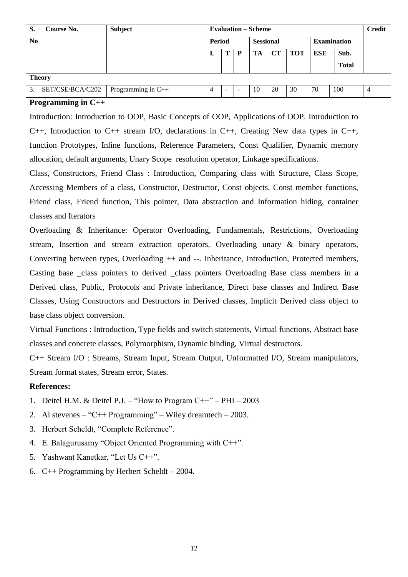| S.             | Course No.       | <b>Subject</b>     |             |               |  | <b>Evaluation – Scheme</b> |    |     |            |                    | <b>Credit</b> |
|----------------|------------------|--------------------|-------------|---------------|--|----------------------------|----|-----|------------|--------------------|---------------|
| N <sub>0</sub> |                  |                    |             | <b>Period</b> |  | <b>Sessional</b>           |    |     |            | <b>Examination</b> |               |
|                |                  |                    | Т<br>D<br>L |               |  | TA                         | CТ | TOT | <b>ESE</b> | Sub.               |               |
|                |                  |                    |             |               |  |                            |    |     |            | <b>Total</b>       |               |
| <b>Theory</b>  |                  |                    |             |               |  |                            |    |     |            |                    |               |
| 3.             | SET/CSE/BCA/C202 | Programming in C++ | 4           | -             |  | 10                         | 20 | 30  | 70         | 100                | 4             |

## **Programming in C++**

Introduction: Introduction to OOP, Basic Concepts of OOP, Applications of OOP. Introduction to C++, Introduction to C++ stream I/O, declarations in C++, Creating New data types in C++, function Prototypes, Inline functions, Reference Parameters, Const Qualifier, Dynamic memory allocation, default arguments, Unary Scope resolution operator, Linkage specifications.

Class, Constructors, Friend Class : Introduction, Comparing class with Structure, Class Scope, Accessing Members of a class, Constructor, Destructor, Const objects, Const member functions, Friend class, Friend function, This pointer, Data abstraction and Information hiding, container classes and Iterators

Overloading & Inheritance: Operator Overloading, Fundamentals, Restrictions, Overloading stream, Insertion and stream extraction operators, Overloading unary & binary operators, Converting between types, Overloading ++ and --. Inheritance, Introduction, Protected members, Casting base \_class pointers to derived \_class pointers Overloading Base class members in a Derived class, Public, Protocols and Private inheritance, Direct base classes and Indirect Base Classes, Using Constructors and Destructors in Derived classes, Implicit Derived class object to base class object conversion.

Virtual Functions : Introduction, Type fields and switch statements, Virtual functions, Abstract base classes and concrete classes, Polymorphism, Dynamic binding, Virtual destructors.

C++ Stream I/O : Streams, Stream Input, Stream Output, Unformatted I/O, Stream manipulators, Stream format states, Stream error, States.

- 1. Deitel H.M. & Deitel P.J. "How to Program C++" PHI 2003
- 2. Al stevenes "C++ Programming" Wiley dreamtech 2003.
- 3. Herbert Scheldt, "Complete Reference".
- 4. E. Balagurusamy "Object Oriented Programming with C++".
- 5. Yashwant Kanetkar, "Let Us C++".
- 6. C++ Programming by Herbert Scheldt 2004.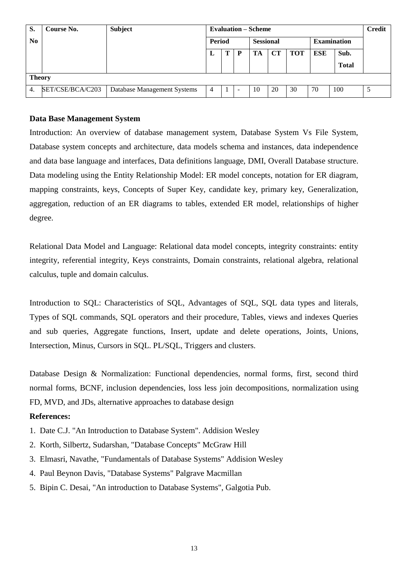| S.             | Course No.       | <b>Subject</b>              |                |        |           | <b>Evaluation – Scheme</b> |    |     |            |                    | <b>Credit</b> |
|----------------|------------------|-----------------------------|----------------|--------|-----------|----------------------------|----|-----|------------|--------------------|---------------|
| N <sub>0</sub> |                  |                             |                | Period |           | <b>Sessional</b>           |    |     |            | <b>Examination</b> |               |
|                |                  |                             | L              | т      | P         | TA                         | CТ | TOT | <b>ESE</b> | Sub.               |               |
|                |                  |                             |                |        |           |                            |    |     |            | <b>Total</b>       |               |
| <b>Theory</b>  |                  |                             |                |        |           |                            |    |     |            |                    |               |
| 4.             | SET/CSE/BCA/C203 | Database Management Systems | $\overline{4}$ | 1      | <b>11</b> | 10                         | 20 | 30  | 70         | 100                |               |

# **Data Base Management System**

Introduction: An overview of database management system, Database System Vs File System, Database system concepts and architecture, data models schema and instances, data independence and data base language and interfaces, Data definitions language, DMI, Overall Database structure. Data modeling using the Entity Relationship Model: ER model concepts, notation for ER diagram, mapping constraints, keys, Concepts of Super Key, candidate key, primary key, Generalization, aggregation, reduction of an ER diagrams to tables, extended ER model, relationships of higher degree.

Relational Data Model and Language: Relational data model concepts, integrity constraints: entity integrity, referential integrity, Keys constraints, Domain constraints, relational algebra, relational calculus, tuple and domain calculus.

Introduction to SQL: Characteristics of SQL, Advantages of SQL, SQL data types and literals, Types of SQL commands, SQL operators and their procedure, Tables, views and indexes Queries and sub queries, Aggregate functions, Insert, update and delete operations, Joints, Unions, Intersection, Minus, Cursors in SQL. PL/SQL, Triggers and clusters.

Database Design & Normalization: Functional dependencies, normal forms, first, second third normal forms, BCNF, inclusion dependencies, loss less join decompositions, normalization using FD, MVD, and JDs, alternative approaches to database design

- 1. Date C.J. "An Introduction to Database System". Addision Wesley
- 2. Korth, Silbertz, Sudarshan, "Database Concepts" McGraw Hill
- 3. Elmasri, Navathe, "Fundamentals of Database Systems" Addision Wesley
- 4. Paul Beynon Davis, "Database Systems" Palgrave Macmillan
- 5. Bipin C. Desai, "An introduction to Database Systems", Galgotia Pub.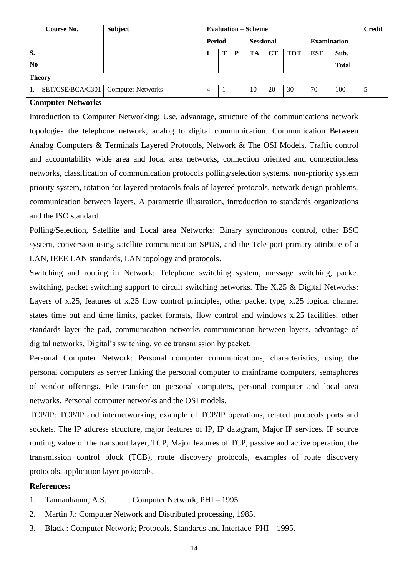|                | Course No.                           | <b>Subject</b> |               |  |                  | <b>Evaluation – Scheme</b> |           |                    |     |              | <b>Credit</b> |
|----------------|--------------------------------------|----------------|---------------|--|------------------|----------------------------|-----------|--------------------|-----|--------------|---------------|
|                |                                      |                | <b>Period</b> |  | <b>Sessional</b> |                            |           | <b>Examination</b> |     |              |               |
| S.             |                                      |                | ப             |  | P                | TA                         | <b>CT</b> | <b>TOT</b>         | ESE | Sub.         |               |
| N <sub>0</sub> |                                      |                |               |  |                  |                            |           |                    |     | <b>Total</b> |               |
| <b>Theory</b>  |                                      |                |               |  |                  |                            |           |                    |     |              |               |
|                | SET/CSE/BCA/C301   Computer Networks |                | 4             |  | -                | 10                         | 20        | 30                 | 70  | 100          |               |

#### **Computer Networks**

Introduction to Computer Networking: Use, advantage, structure of the communications network topologies the telephone network, analog to digital communication. Communication Between Analog Computers & Terminals Layered Protocols, Network & The OSI Models, Traffic control and accountability wide area and local area networks, connection oriented and connectionless networks, classification of communication protocols polling/selection systems, non-priority system priority system, rotation for layered protocols foals of layered protocols, network design problems, communication between layers, A parametric illustration, introduction to standards organizations and the ISO standard.

Polling/Selection, Satellite and Local area Networks: Binary synchronous control, other BSC system, conversion using satellite communication SPUS, and the Tele-port primary attribute of a LAN, IEEE LAN standards, LAN topology and protocols.

Switching and routing in Network: Telephone switching system, message switching, packet switching, packet switching support to circuit switching networks. The X.25 & Digital Networks: Layers of x.25, features of x.25 flow control principles, other packet type, x.25 logical channel states time out and time limits, packet formats, flow control and windows x.25 facilities, other standards layer the pad, communication networks communication between layers, advantage of digital networks, Digital"s switching, voice transmission by packet.

Personal Computer Network: Personal computer communications, characteristics, using the personal computers as server linking the personal computer to mainframe computers, semaphores of vendor offerings. File transfer on personal computers, personal computer and local area networks. Personal computer networks and the OSI models.

TCP/IP: TCP/IP and internetworking, example of TCP/IP operations, related protocols ports and sockets. The IP address structure, major features of IP, IP datagram, Major IP services. IP source routing, value of the transport layer, TCP, Major features of TCP, passive and active operation, the transmission control block (TCB), route discovery protocols, examples of route discovery protocols, application layer protocols.

- 1. Tannanhaum, A.S. : Computer Network, PHI 1995.
- 2. Martin J.: Computer Network and Distributed processing, 1985.
- 3. Black : Computer Network; Protocols, Standards and Interface PHI 1995.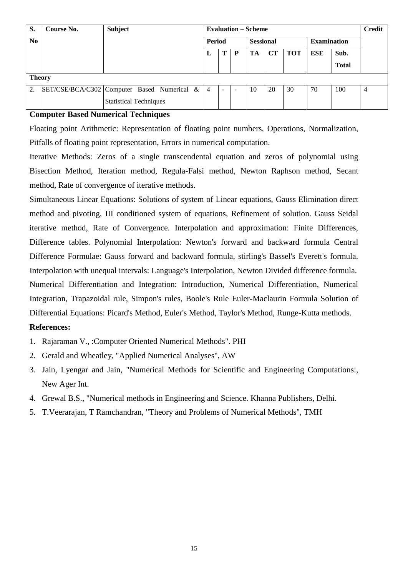| S.             | Course No.                                  | <b>Subject</b>                |  | <b>Evaluation – Scheme</b> |               |  |                  |           |            |                    |              | <b>Credit</b> |
|----------------|---------------------------------------------|-------------------------------|--|----------------------------|---------------|--|------------------|-----------|------------|--------------------|--------------|---------------|
| N <sub>o</sub> |                                             |                               |  |                            | <b>Period</b> |  | <b>Sessional</b> |           |            | <b>Examination</b> |              |               |
|                |                                             |                               |  | L                          | P             |  | TA               | <b>CT</b> | <b>TOT</b> | <b>ESE</b>         | Sub.         |               |
|                |                                             |                               |  |                            |               |  |                  |           |            |                    | <b>Total</b> |               |
|                | <b>Theory</b>                               |                               |  |                            |               |  |                  |           |            |                    |              |               |
| 2.             | SET/CSE/BCA/C302 Computer Based Numerical & |                               |  | $\overline{4}$             |               |  | 10               | 20        | 30         | 70                 | 100          | 4             |
|                |                                             | <b>Statistical Techniques</b> |  |                            |               |  |                  |           |            |                    |              |               |

# **Computer Based Numerical Techniques**

Floating point Arithmetic: Representation of floating point numbers, Operations, Normalization, Pitfalls of floating point representation, Errors in numerical computation.

Iterative Methods: Zeros of a single transcendental equation and zeros of polynomial using Bisection Method, Iteration method, Regula-Falsi method, Newton Raphson method, Secant method, Rate of convergence of iterative methods.

Simultaneous Linear Equations: Solutions of system of Linear equations, Gauss Elimination direct method and pivoting, III conditioned system of equations, Refinement of solution. Gauss Seidal iterative method, Rate of Convergence. Interpolation and approximation: Finite Differences, Difference tables. Polynomial Interpolation: Newton's forward and backward formula Central Difference Formulae: Gauss forward and backward formula, stirling's Bassel's Everett's formula. Interpolation with unequal intervals: Language's Interpolation, Newton Divided difference formula. Numerical Differentiation and Integration: Introduction, Numerical Differentiation, Numerical Integration, Trapazoidal rule, Simpon's rules, Boole's Rule Euler-Maclaurin Formula Solution of Differential Equations: Picard's Method, Euler's Method, Taylor's Method, Runge-Kutta methods.

- 1. Rajaraman V., :Computer Oriented Numerical Methods". PHI
- 2. Gerald and Wheatley, "Applied Numerical Analyses", AW
- 3. Jain, Lyengar and Jain, "Numerical Methods for Scientific and Engineering Computations:, New Ager Int.
- 4. Grewal B.S., "Numerical methods in Engineering and Science. Khanna Publishers, Delhi.
- 5. T.Veerarajan, T Ramchandran, "Theory and Problems of Numerical Methods", TMH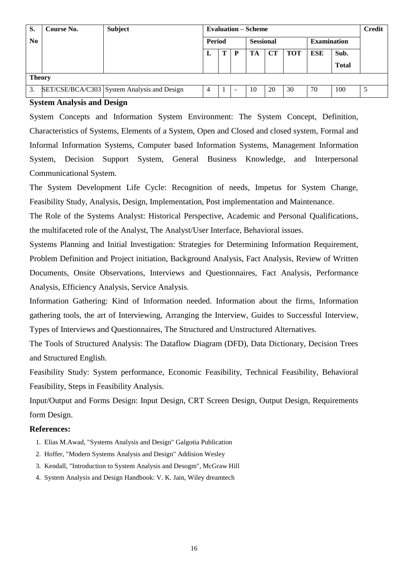| S.             | Course No. | <b>Subject</b>                              |                |  |                          | <b>Evaluation – Scheme</b> |     |                    |                      |     | <b>Credit</b> |
|----------------|------------|---------------------------------------------|----------------|--|--------------------------|----------------------------|-----|--------------------|----------------------|-----|---------------|
| N <sub>0</sub> |            |                                             | <b>Period</b>  |  | <b>Sessional</b>         |                            |     | <b>Examination</b> |                      |     |               |
|                |            |                                             | m<br>P<br>L    |  | TA                       | <b>CT</b>                  | TOT | <b>ESE</b>         | Sub.<br><b>Total</b> |     |               |
| <b>Theory</b>  |            |                                             |                |  |                          |                            |     |                    |                      |     |               |
| 3.             |            | SET/CSE/BCA/C303 System Analysis and Design | $\overline{4}$ |  | $\overline{\phantom{a}}$ | 10                         | 20  | 30                 | 70                   | 100 | 5             |

#### **System Analysis and Design**

System Concepts and Information System Environment: The System Concept, Definition, Characteristics of Systems, Elements of a System, Open and Closed and closed system, Formal and Informal Information Systems, Computer based Information Systems, Management Information System, Decision Support System, General Business Knowledge, and Interpersonal Communicational System.

The System Development Life Cycle: Recognition of needs, Impetus for System Change, Feasibility Study, Analysis, Design, Implementation, Post implementation and Maintenance.

The Role of the Systems Analyst: Historical Perspective, Academic and Personal Qualifications, the multifaceted role of the Analyst, The Analyst/User Interface, Behavioral issues.

Systems Planning and Initial Investigation: Strategies for Determining Information Requirement, Problem Definition and Project initiation, Background Analysis, Fact Analysis, Review of Written Documents, Onsite Observations, Interviews and Questionnaires, Fact Analysis, Performance Analysis, Efficiency Analysis, Service Analysis.

Information Gathering: Kind of Information needed. Information about the firms, Information gathering tools, the art of Interviewing, Arranging the Interview, Guides to Successful Interview, Types of Interviews and Questionnaires, The Structured and Unstructured Alternatives.

The Tools of Structured Analysis: The Dataflow Diagram (DFD), Data Dictionary, Decision Trees and Structured English.

Feasibility Study: System performance, Economic Feasibility, Technical Feasibility, Behavioral Feasibility, Steps in Feasibility Analysis.

Input/Output and Forms Design: Input Design, CRT Screen Design, Output Design, Requirements form Design.

- 1. Elias M.Awad, "Systems Analysis and Design" Galgotia Publication
- 2. Hoffer, "Modern Systems Analysis and Design" Addision Wesley
- 3. Kendall, "Introduction to System Analysis and Desogm", McGraw Hill
- 4. System Analysis and Design Handbook: V. K. Jain, Wiley dreamtech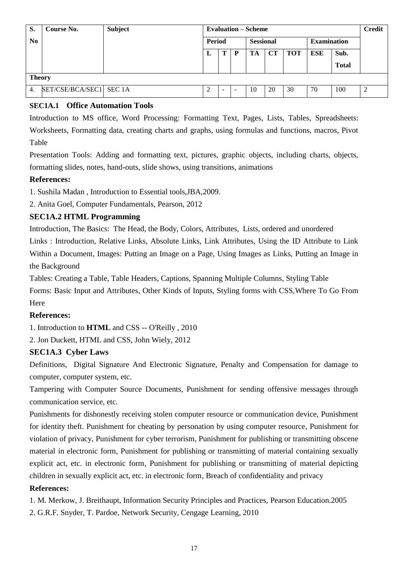| S.            | Course No.              | <b>Subject</b> |        |  |                  | <b>Evaluation – Scheme</b> |    |                    |     |              | <b>Credit</b> |
|---------------|-------------------------|----------------|--------|--|------------------|----------------------------|----|--------------------|-----|--------------|---------------|
| $\bf No$      |                         |                | Period |  | <b>Sessional</b> |                            |    | <b>Examination</b> |     |              |               |
|               |                         |                | L      |  | $\mathbf P$      | TA                         | CT | <b>TOT</b>         | ESE | Sub.         |               |
|               |                         |                |        |  |                  |                            |    |                    |     | <b>Total</b> |               |
| <b>Theory</b> |                         |                |        |  |                  |                            |    |                    |     |              |               |
| 4.            | SET/CSE/BCA/SEC1 SEC 1A |                | ↑<br>∠ |  | -                | 10                         | 20 | 30                 | 70  | 100          | 2             |

# **SEC1A.1 Office Automation Tools**

Introduction to MS office, Word Processing: Formatting Text, Pages, Lists, Tables, Spreadsheets: Worksheets, Formatting data, creating charts and graphs, using formulas and functions, macros, Pivot Table

Presentation Tools: Adding and formatting text, pictures, graphic objects, including charts, objects, formatting slides, notes, hand-outs, slide shows, using transitions, animations

# **References:**

1. Sushila Madan , Introduction to Essential tools,JBA,2009.

2. Anita Goel, Computer Fundamentals, Pearson, 2012

# **SEC1A.2 HTML Programming**

Introduction, The Basics: The Head, the Body, Colors, Attributes, Lists, ordered and unordered Links : Introduction, Relative Links, Absolute Links, Link Attributes, Using the ID Attribute to Link Within a Document, Images: Putting an Image on a Page, Using Images as Links, Putting an Image in the Background

Tables: Creating a Table, Table Headers, Captions, Spanning Multiple Columns, Styling Table Forms: Basic Input and Attributes, Other Kinds of Inputs, Styling forms with CSS,Where To Go From Here

# **References:**

1. Introduction to **HTML** and CSS -- O'Reilly , 2010

2. Jon Duckett, HTML and CSS, John Wiely, 2012

# **SEC1A.3 Cyber Laws**

Definitions, Digital Signature And Electronic Signature, Penalty and Compensation for damage to computer, computer system, etc.

Tampering with Computer Source Documents, Punishment for sending offensive messages through communication service, etc.

Punishments for dishonestly receiving stolen computer resource or communication device, Punishment for identity theft. Punishment for cheating by personation by using computer resource, Punishment for violation of privacy, Punishment for cyber terrorism, Punishment for publishing or transmitting obscene material in electronic form, Punishment for publishing or transmitting of material containing sexually explicit act, etc. in electronic form, Punishment for publishing or transmitting of material depicting children in sexually explicit act, etc. in electronic form, Breach of confidentiality and privacy

# **References:**

1. M. Merkow, J. Breithaupt, Information Security Principles and Practices, Pearson Education.2005

2. G.R.F. Snyder, T. Pardoe, Network Security, Cengage Learning, 2010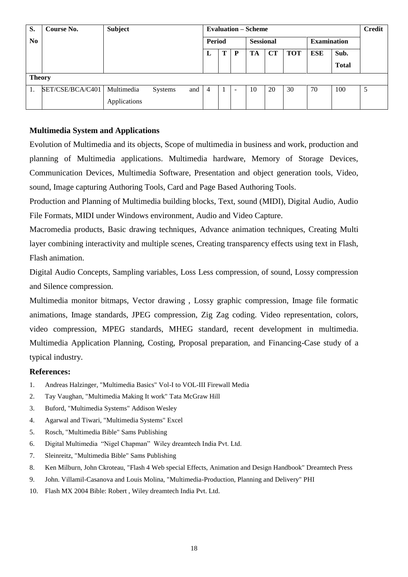| S.             | Course No.       | <b>Subject</b> |         |     | <b>Evaluation – Scheme</b> |   |   |                  |           |            |                    |              | <b>Credit</b> |
|----------------|------------------|----------------|---------|-----|----------------------------|---|---|------------------|-----------|------------|--------------------|--------------|---------------|
| N <sub>0</sub> |                  |                |         |     | Period                     |   |   | <b>Sessional</b> |           |            | <b>Examination</b> |              |               |
|                |                  |                |         |     | ப                          | Т | P | TA               | <b>CT</b> | <b>TOT</b> | ESE                | Sub.         |               |
|                |                  |                |         |     |                            |   |   |                  |           |            |                    | <b>Total</b> |               |
| <b>Theory</b>  |                  |                |         |     |                            |   |   |                  |           |            |                    |              |               |
|                | SET/CSE/BCA/C401 | Multimedia     | Systems | and | 4                          |   | ۰ | 10               | 20        | 30         | 70                 | 100          | 5             |
|                |                  | Applications   |         |     |                            |   |   |                  |           |            |                    |              |               |

# **Multimedia System and Applications**

Evolution of Multimedia and its objects, Scope of multimedia in business and work, production and planning of Multimedia applications. Multimedia hardware, Memory of Storage Devices, Communication Devices, Multimedia Software, Presentation and object generation tools, Video, sound, Image capturing Authoring Tools, Card and Page Based Authoring Tools.

Production and Planning of Multimedia building blocks, Text, sound (MIDI), Digital Audio, Audio File Formats, MIDI under Windows environment, Audio and Video Capture.

Macromedia products, Basic drawing techniques, Advance animation techniques, Creating Multi layer combining interactivity and multiple scenes, Creating transparency effects using text in Flash, Flash animation.

Digital Audio Concepts, Sampling variables, Loss Less compression, of sound, Lossy compression and Silence compression.

Multimedia monitor bitmaps, Vector drawing , Lossy graphic compression, Image file formatic animations, Image standards, JPEG compression, Zig Zag coding. Video representation, colors, video compression, MPEG standards, MHEG standard, recent development in multimedia. Multimedia Application Planning, Costing, Proposal preparation, and Financing-Case study of a typical industry.

- 1. Andreas Halzinger, "Multimedia Basics" Vol-I to VOL-III Firewall Media
- 2. Tay Vaughan, "Multimedia Making It work" Tata McGraw Hill
- 3. Buford, "Multimedia Systems" Addison Wesley
- 4. Agarwal and Tiwari, "Multimedia Systems" Excel
- 5. Rosch, "Multimedia Bible" Sams Publishing
- 6. Digital Multimedia "Nigel Chapman" Wiley dreamtech India Pvt. Ltd.
- 7. Sleinreitz, "Multimedia Bible" Sams Publishing
- 8. Ken Milburn, John Ckroteau, "Flash 4 Web special Effects, Animation and Design Handbook" Dreamtech Press
- 9. John. Villamil-Casanova and Louis Molina, "Multimedia-Production, Planning and Delivery" PHI
- 10. Flash MX 2004 Bible: Robert , Wiley dreamtech India Pvt. Ltd.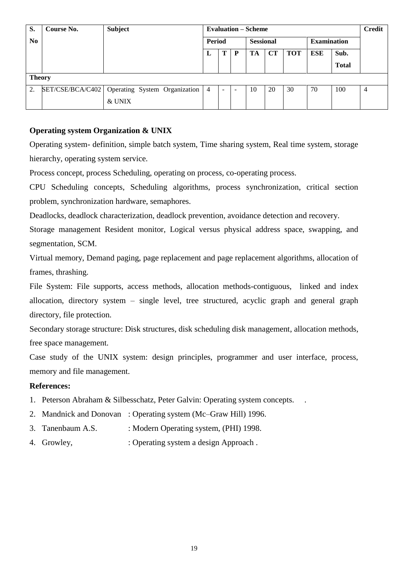| S.             | Course No.       | <b>Subject</b>                | <b>Evaluation – Scheme</b> |        |                |    |                  |            |                    |              | <b>Credit</b>  |
|----------------|------------------|-------------------------------|----------------------------|--------|----------------|----|------------------|------------|--------------------|--------------|----------------|
| N <sub>0</sub> |                  |                               |                            | Period |                |    | <b>Sessional</b> |            | <b>Examination</b> |              |                |
|                |                  |                               | ப                          | т<br>P |                | TA | CT               | <b>TOT</b> | ESE                | Sub.         |                |
|                |                  |                               |                            |        |                |    |                  |            |                    | <b>Total</b> |                |
| <b>Theory</b>  |                  |                               |                            |        |                |    |                  |            |                    |              |                |
| 2.             | SET/CSE/BCA/C402 | Operating System Organization | $\overline{4}$             |        | $\overline{a}$ | 10 | 20               | 30         | 70                 | 100          | $\overline{4}$ |
|                |                  | & UNIX                        |                            |        |                |    |                  |            |                    |              |                |

# **Operating system Organization & UNIX**

Operating system- definition, simple batch system, Time sharing system, Real time system, storage hierarchy, operating system service.

Process concept, process Scheduling, operating on process, co-operating process.

CPU Scheduling concepts, Scheduling algorithms, process synchronization, critical section problem, synchronization hardware, semaphores.

Deadlocks, deadlock characterization, deadlock prevention, avoidance detection and recovery.

Storage management Resident monitor, Logical versus physical address space, swapping, and segmentation, SCM.

Virtual memory, Demand paging, page replacement and page replacement algorithms, allocation of frames, thrashing.

File System: File supports, access methods, allocation methods-contiguous, linked and index allocation, directory system – single level, tree structured, acyclic graph and general graph directory, file protection.

Secondary storage structure: Disk structures, disk scheduling disk management, allocation methods, free space management.

Case study of the UNIX system: design principles, programmer and user interface, process, memory and file management.

- 1. Peterson Abraham & Silbesschatz, Peter Galvin: Operating system concepts. .
- 2. Mandnick and Donovan : Operating system (Mc–Graw Hill) 1996.
- 3. Tanenbaum A.S. : Modern Operating system, (PHI) 1998.
- 4. Growley, : Operating system a design Approach.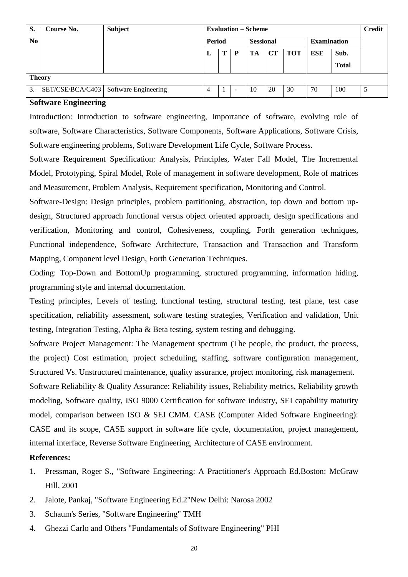| S.             | Course No.       | <b>Subject</b>       |                |   |                          | <b>Evaluation – Scheme</b> |    |                    |            |              | <b>Credit</b> |
|----------------|------------------|----------------------|----------------|---|--------------------------|----------------------------|----|--------------------|------------|--------------|---------------|
| N <sub>0</sub> |                  |                      | Period         |   | <b>Sessional</b>         |                            |    | <b>Examination</b> |            |              |               |
|                |                  |                      | L              | P |                          | TA                         | CT | <b>TOT</b>         | <b>ESE</b> | Sub.         |               |
|                |                  |                      |                |   |                          |                            |    |                    |            | <b>Total</b> |               |
|                | <b>Theory</b>    |                      |                |   |                          |                            |    |                    |            |              |               |
| 3.             | SET/CSE/BCA/C403 | Software Engineering | $\overline{4}$ |   | $\overline{\phantom{a}}$ | 10                         | 20 | 30                 | 70         | 100          | 5             |

#### **Software Engineering**

Introduction: Introduction to software engineering, Importance of software, evolving role of software, Software Characteristics, Software Components, Software Applications, Software Crisis, Software engineering problems, Software Development Life Cycle, Software Process.

Software Requirement Specification: Analysis, Principles, Water Fall Model, The Incremental Model, Prototyping, Spiral Model, Role of management in software development, Role of matrices and Measurement, Problem Analysis, Requirement specification, Monitoring and Control.

Software-Design: Design principles, problem partitioning, abstraction, top down and bottom updesign, Structured approach functional versus object oriented approach, design specifications and verification, Monitoring and control, Cohesiveness, coupling, Forth generation techniques, Functional independence, Software Architecture, Transaction and Transaction and Transform Mapping, Component level Design, Forth Generation Techniques.

Coding: Top-Down and BottomUp programming, structured programming, information hiding, programming style and internal documentation.

Testing principles, Levels of testing, functional testing, structural testing, test plane, test case specification, reliability assessment, software testing strategies, Verification and validation, Unit testing, Integration Testing, Alpha & Beta testing, system testing and debugging.

Software Project Management: The Management spectrum (The people, the product, the process, the project) Cost estimation, project scheduling, staffing, software configuration management, Structured Vs. Unstructured maintenance, quality assurance, project monitoring, risk management.

Software Reliability & Quality Assurance: Reliability issues, Reliability metrics, Reliability growth modeling, Software quality, ISO 9000 Certification for software industry, SEI capability maturity model, comparison between ISO & SEI CMM. CASE (Computer Aided Software Engineering): CASE and its scope, CASE support in software life cycle, documentation, project management, internal interface, Reverse Software Engineering, Architecture of CASE environment.

- 1. Pressman, Roger S., "Software Engineering: A Practitioner's Approach Ed.Boston: McGraw Hill, 2001
- 2. Jalote, Pankaj, "Software Engineering Ed.2"New Delhi: Narosa 2002
- 3. Schaum's Series, "Software Engineering" TMH
- 4. Ghezzi Carlo and Others "Fundamentals of Software Engineering" PHI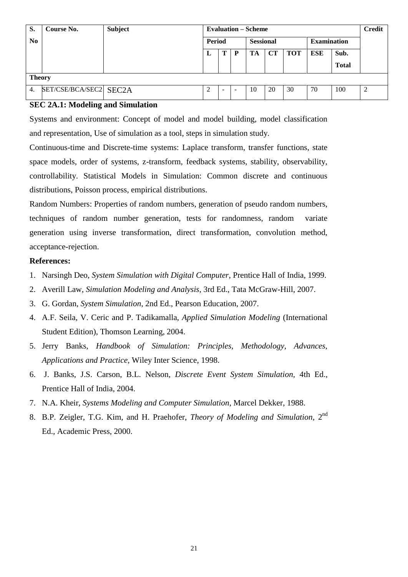| S.               | <b>Course No.</b>      | <b>Subject</b> |        |  |                          | <b>Evaluation – Scheme</b> |           |                    |     |                      | <b>Credit</b> |
|------------------|------------------------|----------------|--------|--|--------------------------|----------------------------|-----------|--------------------|-----|----------------------|---------------|
| N <sub>0</sub>   |                        |                | Period |  | <b>Sessional</b>         |                            |           | <b>Examination</b> |     |                      |               |
|                  |                        |                | ≖      |  | P                        | TA                         | <b>CT</b> | <b>TOT</b>         | ESE | Sub.<br><b>Total</b> |               |
|                  | <b>Theory</b>          |                |        |  |                          |                            |           |                    |     |                      |               |
| $\overline{4}$ . | SET/CSE/BCA/SEC2 SEC2A |                | ∍<br>∠ |  | $\overline{\phantom{a}}$ | 10                         | 20        | 30                 | 70  | 100                  | 2             |

# **SEC 2A.1: Modeling and Simulation**

Systems and environment: Concept of model and model building, model classification and representation, Use of simulation as a tool, steps in simulation study.

Continuous-time and Discrete-time systems: Laplace transform, transfer functions, state space models, order of systems, z-transform, feedback systems, stability, observability, controllability. Statistical Models in Simulation: Common discrete and continuous distributions, Poisson process, empirical distributions.

Random Numbers: Properties of random numbers, generation of pseudo random numbers, techniques of random number generation, tests for randomness, random variate generation using inverse transformation, direct transformation, convolution method, acceptance-rejection.

- 1. Narsingh Deo, *System Simulation with Digital Computer*, Prentice Hall of India, 1999.
- 2. Averill Law, *Simulation Modeling and Analysis,* 3rd Ed., Tata McGraw-Hill, 2007.
- 3. G. Gordan, *System Simulation*, 2nd Ed., Pearson Education, 2007.
- 4. A.F. Seila, V. Ceric and P. Tadikamalla, *Applied Simulation Modeling* (International Student Edition), Thomson Learning, 2004.
- 5. Jerry Banks, *Handbook of Simulation: Principles, Methodology, Advances, Applications and Practice*, Wiley Inter Science, 1998.
- 6. J. Banks, J.S. Carson, B.L. Nelson, *Discrete Event System Simulation,* 4th Ed., Prentice Hall of India, 2004.
- 7. N.A. Kheir, *Systems Modeling and Computer Simulation*, Marcel Dekker, 1988.
- 8. B.P. Zeigler, T.G. Kim, and H. Praehofer, *Theory of Modeling and Simulation*, 2<sup>nd</sup> Ed., Academic Press, 2000.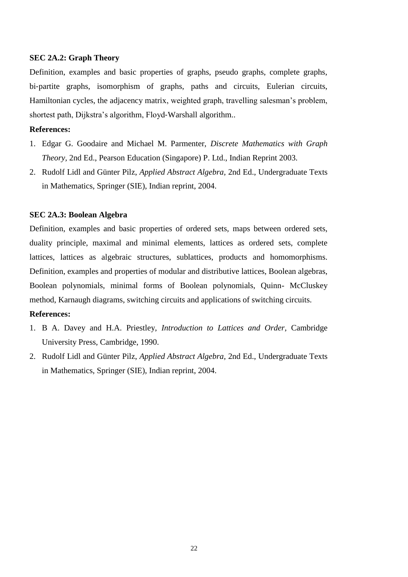#### **SEC 2A.2: Graph Theory**

Definition, examples and basic properties of graphs, pseudo graphs, complete graphs, bi-partite graphs, isomorphism of graphs, paths and circuits, Eulerian circuits, Hamiltonian cycles, the adjacency matrix, weighted graph, travelling salesman"s problem, shortest path, Dijkstra's algorithm, Floyd-Warshall algorithm...

#### **References:**

- 1. Edgar G. Goodaire and Michael M. Parmenter, *Discrete Mathematics with Graph Theory,* 2nd Ed., Pearson Education (Singapore) P. Ltd., Indian Reprint 2003.
- 2. Rudolf Lidl and Günter Pilz, *Applied Abstract Algebra,* 2nd Ed., Undergraduate Texts in Mathematics, Springer (SIE), Indian reprint, 2004.

## **SEC 2A.3: Boolean Algebra**

Definition, examples and basic properties of ordered sets, maps between ordered sets, duality principle, maximal and minimal elements, lattices as ordered sets, complete lattices, lattices as algebraic structures, sublattices, products and homomorphisms. Definition, examples and properties of modular and distributive lattices, Boolean algebras, Boolean polynomials, minimal forms of Boolean polynomials, Quinn- McCluskey method, Karnaugh diagrams, switching circuits and applications of switching circuits.

- 1. B A. Davey and H.A. Priestley, *Introduction to Lattices and Order,* Cambridge University Press, Cambridge, 1990.
- 2. Rudolf Lidl and Günter Pilz, *Applied Abstract Algebra,* 2nd Ed., Undergraduate Texts in Mathematics, Springer (SIE), Indian reprint, 2004.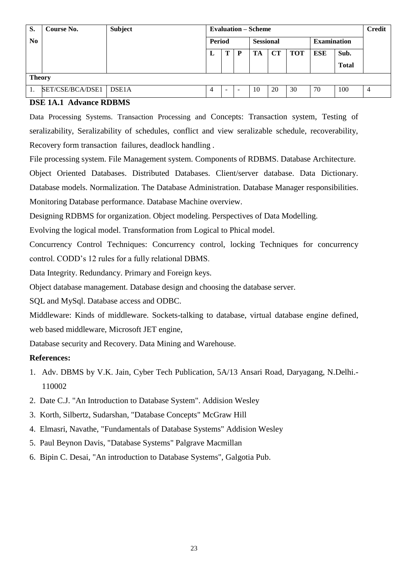| S.       | Course No.       | <b>Subject</b>     |        |   |                  | <b>Evaluation – Scheme</b> |    |                    |     |                      | <b>Credit</b> |
|----------|------------------|--------------------|--------|---|------------------|----------------------------|----|--------------------|-----|----------------------|---------------|
| $\bf No$ |                  |                    | Period |   | <b>Sessional</b> |                            |    | <b>Examination</b> |     |                      |               |
|          |                  |                    |        | т | D                | TA                         | CТ | <b>TOT</b>         | ESE | Sub.<br><b>Total</b> |               |
|          | <b>Theory</b>    |                    |        |   |                  |                            |    |                    |     |                      |               |
|          | SET/CSE/BCA/DSE1 | DSE <sub>1</sub> A | 4      |   |                  | 10                         | 20 | 30                 | 70  | 100                  | 4             |

# **DSE 1A.1 Advance RDBMS**

Data Processing Systems. Transaction Processing and Concepts: Transaction system, Testing of seralizability, Seralizability of schedules, conflict and view seralizable schedule, recoverability, Recovery form transaction failures, deadlock handling .

File processing system. File Management system. Components of RDBMS. Database Architecture.

Object Oriented Databases. Distributed Databases. Client/server database. Data Dictionary. Database models. Normalization. The Database Administration. Database Manager responsibilities. Monitoring Database performance. Database Machine overview.

Designing RDBMS for organization. Object modeling. Perspectives of Data Modelling.

Evolving the logical model. Transformation from Logical to Phical model.

Concurrency Control Techniques: Concurrency control, locking Techniques for concurrency control. CODD"s 12 rules for a fully relational DBMS.

Data Integrity. Redundancy. Primary and Foreign keys.

Object database management. Database design and choosing the database server.

SQL and MySql. Database access and ODBC.

Middleware: Kinds of middleware. Sockets-talking to database, virtual database engine defined, web based middleware, Microsoft JET engine,

Database security and Recovery. Data Mining and Warehouse.

- 1. Adv. DBMS by V.K. Jain, Cyber Tech Publication, 5A/13 Ansari Road, Daryagang, N.Delhi.- 110002
- 2. Date C.J. "An Introduction to Database System". Addision Wesley
- 3. Korth, Silbertz, Sudarshan, "Database Concepts" McGraw Hill
- 4. Elmasri, Navathe, "Fundamentals of Database Systems" Addision Wesley
- 5. Paul Beynon Davis, "Database Systems" Palgrave Macmillan
- 6. Bipin C. Desai, "An introduction to Database Systems", Galgotia Pub.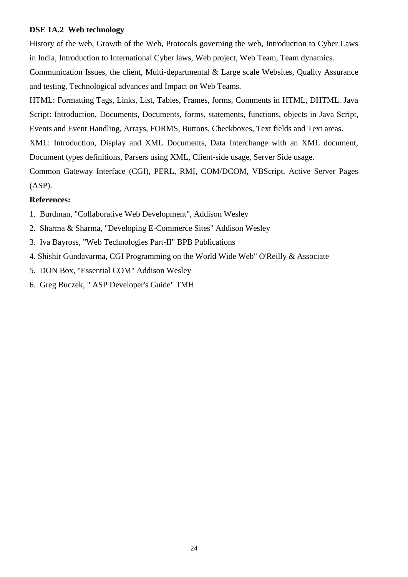# **DSE 1A.2 Web technology**

History of the web, Growth of the Web, Protocols governing the web, Introduction to Cyber Laws in India, Introduction to International Cyber laws, Web project, Web Team, Team dynamics.

Communication Issues, the client, Multi-departmental & Large scale Websites, Quality Assurance and testing, Technological advances and Impact on Web Teams.

HTML: Formatting Tags, Links, List, Tables, Frames, forms, Comments in HTML, DHTML. Java Script: Introduction, Documents, Documents, forms, statements, functions, objects in Java Script, Events and Event Handling, Arrays, FORMS, Buttons, Checkboxes, Text fields and Text areas.

XML: Introduction, Display and XML Documents, Data Interchange with an XML document, Document types definitions, Parsers using XML, Client-side usage, Server Side usage.

Common Gateway Interface (CGI), PERL, RMI, COM/DCOM, VBScript, Active Server Pages (ASP).

- 1. Burdman, "Collaborative Web Development", Addison Wesley
- 2. Sharma & Sharma, "Developing E-Commerce Sites" Addison Wesley
- 3. Iva Bayross, "Web Technologies Part-II" BPB Publications
- 4. Shishir Gundavarma, CGI Programming on the World Wide Web" O'Reilly & Associate
- 5. DON Box, "Essential COM" Addison Wesley
- 6. Greg Buczek, " ASP Developer's Guide" TMH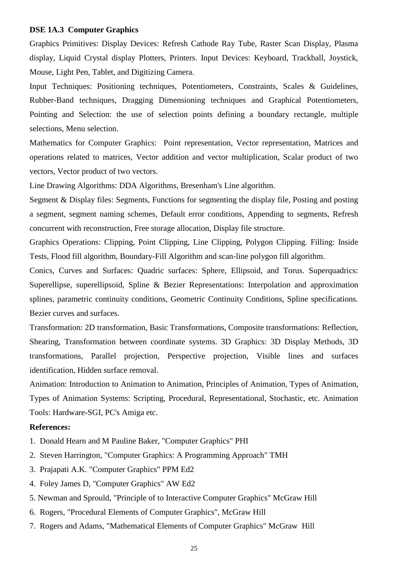## **DSE 1A.3 Computer Graphics**

Graphics Primitives: Display Devices: Refresh Cathode Ray Tube, Raster Scan Display, Plasma display, Liquid Crystal display Plotters, Printers. Input Devices: Keyboard, Trackball, Joystick, Mouse, Light Pen, Tablet, and Digitizing Camera.

Input Techniques: Positioning techniques, Potentiometers, Constraints, Scales & Guidelines, Rubber-Band techniques, Dragging Dimensioning techniques and Graphical Potentiometers, Pointing and Selection: the use of selection points defining a boundary rectangle, multiple selections, Menu selection.

Mathematics for Computer Graphics: Point representation, Vector representation, Matrices and operations related to matrices, Vector addition and vector multiplication, Scalar product of two vectors, Vector product of two vectors.

Line Drawing Algorithms: DDA Algorithms, Bresenham's Line algorithm.

Segment & Display files: Segments, Functions for segmenting the display file, Posting and posting a segment, segment naming schemes, Default error conditions, Appending to segments, Refresh concurrent with reconstruction, Free storage allocation, Display file structure.

Graphics Operations: Clipping, Point Clipping, Line Clipping, Polygon Clipping. Filling: Inside Tests, Flood fill algorithm, Boundary-Fill Algorithm and scan-line polygon fill algorithm.

Conics, Curves and Surfaces: Quadric surfaces: Sphere, Ellipsoid, and Torus. Superquadrics: Superellipse, superellipsoid, Spline & Bezier Representations: Interpolation and approximation splines, parametric continuity conditions, Geometric Continuity Conditions, Spline specifications. Bezier curves and surfaces.

Transformation: 2D transformation, Basic Transformations, Composite transformations: Reflection, Shearing, Transformation between coordinate systems. 3D Graphics: 3D Display Methods, 3D transformations, Parallel projection, Perspective projection, Visible lines and surfaces identification, Hidden surface removal.

Animation: Introduction to Animation to Animation, Principles of Animation, Types of Animation, Types of Animation Systems: Scripting, Procedural, Representational, Stochastic, etc. Animation Tools: Hardware-SGI, PC's Amiga etc.

- 1. Donald Hearn and M Pauline Baker, "Computer Graphics" PHI
- 2. Steven Harrington, "Computer Graphics: A Programming Approach" TMH
- 3. Prajapati A.K. "Computer Graphics" PPM Ed2
- 4. Foley James D, "Computer Graphics" AW Ed2
- 5. Newman and Sprould, "Principle of to Interactive Computer Graphics" McGraw Hill
- 6. Rogers, "Procedural Elements of Computer Graphics", McGraw Hill
- 7. Rogers and Adams, "Mathematical Elements of Computer Graphics" McGraw Hill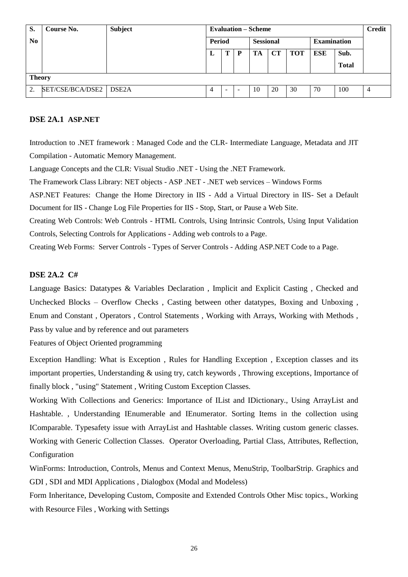| S.             | Course No.       | Subject            | <b>Evaluation – Scheme</b> |                          | <b>Credit</b>    |    |    |                    |     |              |   |
|----------------|------------------|--------------------|----------------------------|--------------------------|------------------|----|----|--------------------|-----|--------------|---|
| N <sub>0</sub> |                  |                    | Period                     |                          | <b>Sessional</b> |    |    | <b>Examination</b> |     |              |   |
|                |                  |                    | L                          |                          | D                | TA | CТ | <b>TOT</b>         | ESE | Sub.         |   |
|                |                  |                    |                            |                          |                  |    |    |                    |     | <b>Total</b> |   |
| <b>Theory</b>  |                  |                    |                            |                          |                  |    |    |                    |     |              |   |
| 2.             | SET/CSE/BCA/DSE2 | DSE <sub>2</sub> A | 4                          | $\overline{\phantom{a}}$ |                  | 10 | 20 | 30                 | 70  | 100          | 4 |

# **DSE 2A.1 ASP.NET**

Introduction to .NET framework : Managed Code and the CLR- Intermediate Language, Metadata and JIT Compilation - Automatic Memory Management.

Language Concepts and the CLR: Visual Studio .NET - Using the .NET Framework.

The Framework Class Library: NET objects - ASP .NET - .NET web services – Windows Forms

ASP.NET Features: Change the Home Directory in IIS - Add a Virtual Directory in IIS- Set a Default Document for IIS - Change Log File Properties for IIS - Stop, Start, or Pause a Web Site.

Creating Web Controls: Web Controls - HTML Controls, Using Intrinsic Controls, Using Input Validation Controls, Selecting Controls for Applications - Adding web controls to a Page.

Creating Web Forms: Server Controls - Types of Server Controls - Adding ASP.NET Code to a Page.

#### **DSE 2A.2 C#**

Language Basics: Datatypes & Variables Declaration , Implicit and Explicit Casting , Checked and Unchecked Blocks – Overflow Checks , Casting between other datatypes, Boxing and Unboxing , Enum and Constant , Operators , Control Statements , Working with Arrays, Working with Methods , Pass by value and by reference and out parameters

Features of Object Oriented programming

Exception Handling: What is Exception , Rules for Handling Exception , Exception classes and its important properties, Understanding & using try, catch keywords , Throwing exceptions, Importance of finally block , "using" Statement , Writing Custom Exception Classes.

Working With Collections and Generics: Importance of IList and IDictionary., Using ArrayList and Hashtable. , Understanding IEnumerable and IEnumerator. Sorting Items in the collection using IComparable. Typesafety issue with ArrayList and Hashtable classes. Writing custom generic classes. Working with Generic Collection Classes. Operator Overloading, Partial Class, Attributes, Reflection, Configuration

WinForms: Introduction, Controls, Menus and Context Menus, MenuStrip, ToolbarStrip. Graphics and GDI , SDI and MDI Applications , Dialogbox (Modal and Modeless)

Form Inheritance, Developing Custom, Composite and Extended Controls Other Misc topics., Working with Resource Files , Working with Settings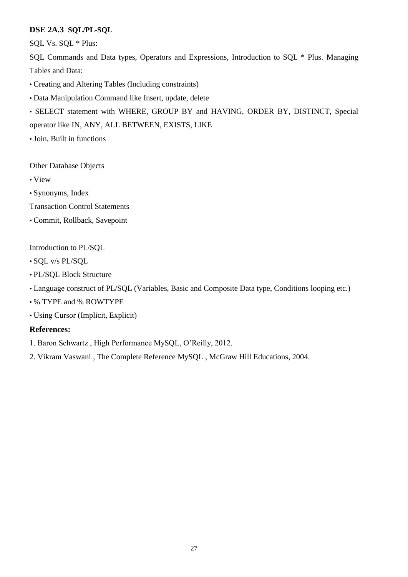# **DSE 2A.3 SQL/PL-SQL**

SQL Vs. SQL \* Plus:

SQL Commands and Data types, Operators and Expressions, Introduction to SQL \* Plus. Managing Tables and Data:

• Creating and Altering Tables (Including constraints)

• Data Manipulation Command like Insert, update, delete

• SELECT statement with WHERE, GROUP BY and HAVING, ORDER BY, DISTINCT, Special operator like IN, ANY, ALL BETWEEN, EXISTS, LIKE

• Join, Built in functions

Other Database Objects

• View

• Synonyms, Index

Transaction Control Statements

• Commit, Rollback, Savepoint

Introduction to PL/SQL

• SQL v/s PL/SQL

- PL/SQL Block Structure
- Language construct of PL/SQL (Variables, Basic and Composite Data type, Conditions looping etc.)
- % TYPE and % ROWTYPE

• Using Cursor (Implicit, Explicit)

# **References:**

1. Baron Schwartz , High Performance MySQL, O"Reilly, 2012.

2. Vikram Vaswani , The Complete Reference MySQL , McGraw Hill Educations, 2004.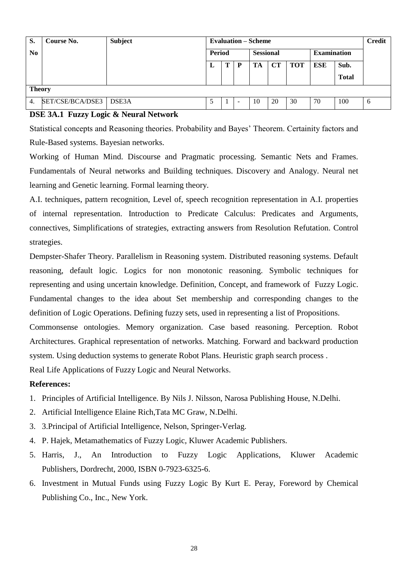| S.               | Course No.       | <b>Subject</b> | <b>Evaluation – Scheme</b> |   | <b>Credit</b> |                  |    |            |                    |                      |   |
|------------------|------------------|----------------|----------------------------|---|---------------|------------------|----|------------|--------------------|----------------------|---|
| N <sub>0</sub>   |                  |                | Period                     |   |               | <b>Sessional</b> |    |            | <b>Examination</b> |                      |   |
|                  |                  |                | L                          | Ί | D             | TA               | CТ | <b>TOT</b> | ESE                | Sub.<br><b>Total</b> |   |
|                  | <b>Theory</b>    |                |                            |   |               |                  |    |            |                    |                      |   |
| $\overline{4}$ . | SET/CSE/BCA/DSE3 | DSE3A          |                            |   |               | 10               | 20 | 30         | 70                 | 100                  | 6 |

# **DSE 3A.1 Fuzzy Logic & Neural Network**

Statistical concepts and Reasoning theories. Probability and Bayes" Theorem. Certainity factors and Rule-Based systems. Bayesian networks.

Working of Human Mind. Discourse and Pragmatic processing. Semantic Nets and Frames. Fundamentals of Neural networks and Building techniques. Discovery and Analogy. Neural net learning and Genetic learning. Formal learning theory.

A.I. techniques, pattern recognition, Level of, speech recognition representation in A.I. properties of internal representation. Introduction to Predicate Calculus: Predicates and Arguments, connectives, Simplifications of strategies, extracting answers from Resolution Refutation. Control strategies.

Dempster-Shafer Theory. Parallelism in Reasoning system. Distributed reasoning systems. Default reasoning, default logic. Logics for non monotonic reasoning. Symbolic techniques for representing and using uncertain knowledge. Definition, Concept, and framework of Fuzzy Logic. Fundamental changes to the idea about Set membership and corresponding changes to the definition of Logic Operations. Defining fuzzy sets, used in representing a list of Propositions.

Commonsense ontologies. Memory organization. Case based reasoning. Perception. Robot Architectures. Graphical representation of networks. Matching. Forward and backward production system. Using deduction systems to generate Robot Plans. Heuristic graph search process .

Real Life Applications of Fuzzy Logic and Neural Networks.

- 1. Principles of Artificial Intelligence. By Nils J. Nilsson, Narosa Publishing House, N.Delhi.
- 2. Artificial Intelligence Elaine Rich,Tata MC Graw, N.Delhi.
- 3. 3.Principal of Artificial Intelligence, Nelson, Springer-Verlag.
- 4. P. Hajek, Metamathematics of Fuzzy Logic, Kluwer Academic Publishers.
- 5. Harris, J., An Introduction to Fuzzy Logic Applications, Kluwer Academic Publishers, Dordrecht, 2000, ISBN 0-7923-6325-6.
- 6. Investment in Mutual Funds using Fuzzy Logic By Kurt E. Peray, Foreword by Chemical Publishing Co., Inc., New York.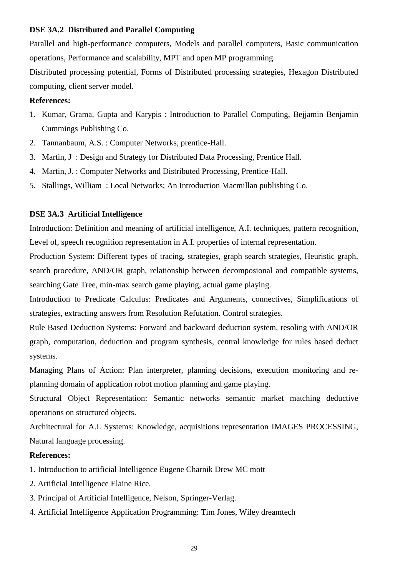# **DSE 3A.2 Distributed and Parallel Computing**

Parallel and high-performance computers, Models and parallel computers, Basic communication operations, Performance and scalability, MPT and open MP programming.

Distributed processing potential, Forms of Distributed processing strategies, Hexagon Distributed computing, client server model.

# **References:**

- 1. Kumar, Grama, Gupta and Karypis : Introduction to Parallel Computing, Bejjamin Benjamin Cummings Publishing Co.
- 2. Tannanbaum, A.S. : Computer Networks, prentice-Hall.
- 3. Martin, J : Design and Strategy for Distributed Data Processing, Prentice Hall.
- 4. Martin, J. : Computer Networks and Distributed Processing, Prentice-Hall.
- 5. Stallings, William : Local Networks; An Introduction Macmillan publishing Co.

# **DSE 3A.3 Artificial Intelligence**

Introduction: Definition and meaning of artificial intelligence, A.I. techniques, pattern recognition, Level of, speech recognition representation in A.I. properties of internal representation.

Production System: Different types of tracing, strategies, graph search strategies, Heuristic graph, search procedure, AND/OR graph, relationship between decomposional and compatible systems, searching Gate Tree, min-max search game playing, actual game playing.

Introduction to Predicate Calculus: Predicates and Arguments, connectives, Simplifications of strategies, extracting answers from Resolution Refutation. Control strategies.

Rule Based Deduction Systems: Forward and backward deduction system, resoling with AND/OR graph, computation, deduction and program synthesis, central knowledge for rules based deduct systems.

Managing Plans of Action: Plan interpreter, planning decisions, execution monitoring and replanning domain of application robot motion planning and game playing.

Structural Object Representation: Semantic networks semantic market matching deductive operations on structured objects.

Architectural for A.I. Systems: Knowledge, acquisitions representation IMAGES PROCESSING, Natural language processing.

- 1. Introduction to artificial Intelligence Eugene Charnik Drew MC mott
- 2. Artificial Intelligence Elaine Rice.
- 3. Principal of Artificial Intelligence, Nelson, Springer-Verlag.
- 4. Artificial Intelligence Application Programming: Tim Jones, Wiley dreamtech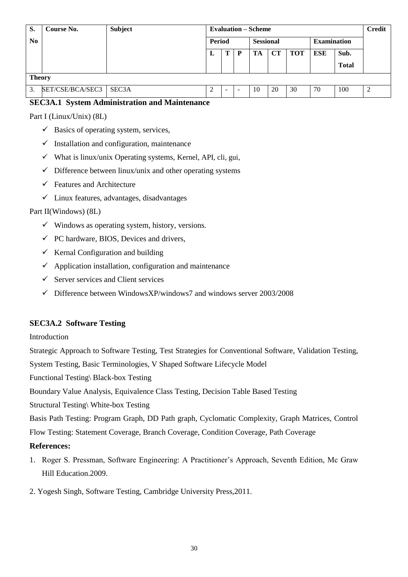| S.             | Course No.       | <b>Subject</b>     | <b>Evaluation – Scheme</b> |        | <b>Credit</b>    |    |             |                    |     |              |   |
|----------------|------------------|--------------------|----------------------------|--------|------------------|----|-------------|--------------------|-----|--------------|---|
| N <sub>0</sub> |                  |                    | Period                     |        | <b>Sessional</b> |    |             | <b>Examination</b> |     |              |   |
|                |                  |                    | L                          | т      | D                | TA | $_{\rm CT}$ | <b>TOT</b>         | ESE | Sub.         |   |
|                |                  |                    |                            |        |                  |    |             |                    |     | <b>Total</b> |   |
| <b>Theory</b>  |                  |                    |                            |        |                  |    |             |                    |     |              |   |
| 3.             | SET/CSE/BCA/SEC3 | SEC <sub>3</sub> A | 2                          | $\sim$ |                  | 10 | 20          | 30                 | 70  | 100          | 2 |

# **SEC3A.1 System Administration and Maintenance**

Part I (Linux/Unix) (8L)

- $\checkmark$  Basics of operating system, services,
- $\checkmark$  Installation and configuration, maintenance
- $\checkmark$  What is linux/unix Operating systems, Kernel, API, cli, gui,
- $\checkmark$  Difference between linux/unix and other operating systems
- $\checkmark$  Features and Architecture
- Linux features, advantages, disadvantages

# Part II(Windows) (8L)

- $\checkmark$  Windows as operating system, history, versions.
- $\checkmark$  PC hardware, BIOS, Devices and drivers,
- $\checkmark$  Kernal Configuration and building
- $\checkmark$  Application installation, configuration and maintenance
- $\checkmark$  Server services and Client services
- $\checkmark$  Difference between WindowsXP/windows7 and windows server 2003/2008

# **SEC3A.2 Software Testing**

Introduction

Strategic Approach to Software Testing, Test Strategies for Conventional Software, Validation Testing,

System Testing, Basic Terminologies, V Shaped Software Lifecycle Model

Functional Testing\ Black-box Testing

Boundary Value Analysis, Equivalence Class Testing, Decision Table Based Testing

Structural Testing\ White-box Testing

Basis Path Testing: Program Graph, DD Path graph, Cyclomatic Complexity, Graph Matrices, Control Flow Testing: Statement Coverage, Branch Coverage, Condition Coverage, Path Coverage

- 1. Roger S. Pressman, Software Engineering: A Practitioner"s Approach, Seventh Edition, Mc Graw Hill Education.2009.
- 2. Yogesh Singh, Software Testing, Cambridge University Press,2011.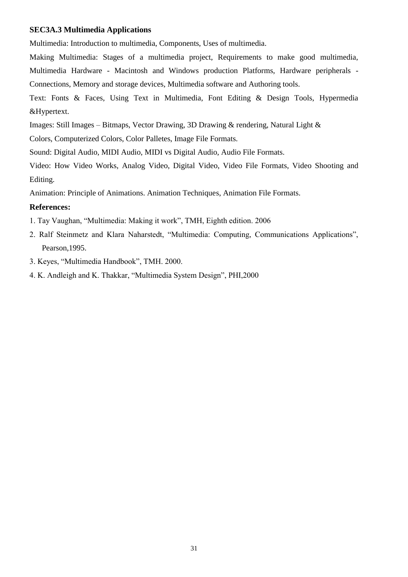#### **SEC3A.3 Multimedia Applications**

Multimedia: Introduction to multimedia, Components, Uses of multimedia.

Making Multimedia: Stages of a multimedia project, Requirements to make good multimedia, Multimedia Hardware - Macintosh and Windows production Platforms, Hardware peripherals - Connections, Memory and storage devices, Multimedia software and Authoring tools.

Text: Fonts & Faces, Using Text in Multimedia, Font Editing & Design Tools, Hypermedia &Hypertext.

Images: Still Images – Bitmaps, Vector Drawing, 3D Drawing & rendering, Natural Light &

Colors, Computerized Colors, Color Palletes, Image File Formats.

Sound: Digital Audio, MIDI Audio, MIDI vs Digital Audio, Audio File Formats.

Video: How Video Works, Analog Video, Digital Video, Video File Formats, Video Shooting and Editing.

Animation: Principle of Animations. Animation Techniques, Animation File Formats.

# **References:**

1. Tay Vaughan, "Multimedia: Making it work", TMH, Eighth edition. 2006

2. Ralf Steinmetz and Klara Naharstedt, "Multimedia: Computing, Communications Applications", Pearson,1995.

3. Keyes, "Multimedia Handbook", TMH. 2000.

4. K. Andleigh and K. Thakkar, "Multimedia System Design", PHI,2000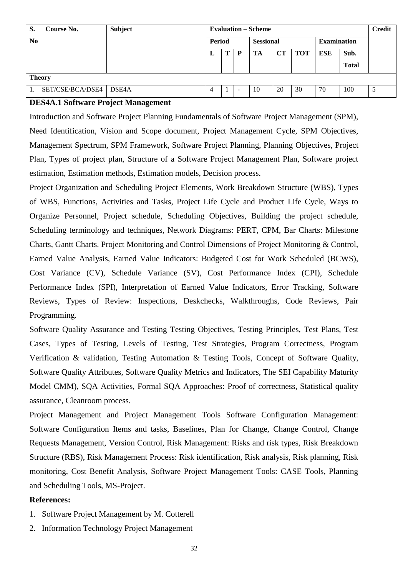| S.             | <b>Course No.</b> | <b>Subject</b> | <b>Evaluation – Scheme</b> |   |                  |    |           |                    |            |              |   |
|----------------|-------------------|----------------|----------------------------|---|------------------|----|-----------|--------------------|------------|--------------|---|
| N <sub>0</sub> |                   |                | <b>Period</b>              |   | <b>Sessional</b> |    |           | <b>Examination</b> |            |              |   |
|                |                   |                | L                          | π | D                | TA | <b>CT</b> | <b>TOT</b>         | <b>ESE</b> | Sub.         |   |
|                |                   |                |                            |   |                  |    |           |                    |            | <b>Total</b> |   |
| <b>Theory</b>  |                   |                |                            |   |                  |    |           |                    |            |              |   |
|                | SET/CSE/BCA/DSE4  | DSE4A          |                            |   | -                | 10 | 20        | 30                 | 70         | 100          | ت |

## **DES4A.1 Software Project Management**

Introduction and Software Project Planning Fundamentals of Software Project Management (SPM), Need Identification, Vision and Scope document, Project Management Cycle, SPM Objectives, Management Spectrum, SPM Framework, Software Project Planning, Planning Objectives, Project Plan, Types of project plan, Structure of a Software Project Management Plan, Software project estimation, Estimation methods, Estimation models, Decision process.

Project Organization and Scheduling Project Elements, Work Breakdown Structure (WBS), Types of WBS, Functions, Activities and Tasks, Project Life Cycle and Product Life Cycle, Ways to Organize Personnel, Project schedule, Scheduling Objectives, Building the project schedule, Scheduling terminology and techniques, Network Diagrams: PERT, CPM, Bar Charts: Milestone Charts, Gantt Charts. Project Monitoring and Control Dimensions of Project Monitoring & Control, Earned Value Analysis, Earned Value Indicators: Budgeted Cost for Work Scheduled (BCWS), Cost Variance (CV), Schedule Variance (SV), Cost Performance Index (CPI), Schedule Performance Index (SPI), Interpretation of Earned Value Indicators, Error Tracking, Software Reviews, Types of Review: Inspections, Deskchecks, Walkthroughs, Code Reviews, Pair Programming.

Software Quality Assurance and Testing Testing Objectives, Testing Principles, Test Plans, Test Cases, Types of Testing, Levels of Testing, Test Strategies, Program Correctness, Program Verification & validation, Testing Automation & Testing Tools, Concept of Software Quality, Software Quality Attributes, Software Quality Metrics and Indicators, The SEI Capability Maturity Model CMM), SQA Activities, Formal SQA Approaches: Proof of correctness, Statistical quality assurance, Cleanroom process.

Project Management and Project Management Tools Software Configuration Management: Software Configuration Items and tasks, Baselines, Plan for Change, Change Control, Change Requests Management, Version Control, Risk Management: Risks and risk types, Risk Breakdown Structure (RBS), Risk Management Process: Risk identification, Risk analysis, Risk planning, Risk monitoring, Cost Benefit Analysis, Software Project Management Tools: CASE Tools, Planning and Scheduling Tools, MS-Project.

- 1. Software Project Management by M. Cotterell
- 2. Information Technology Project Management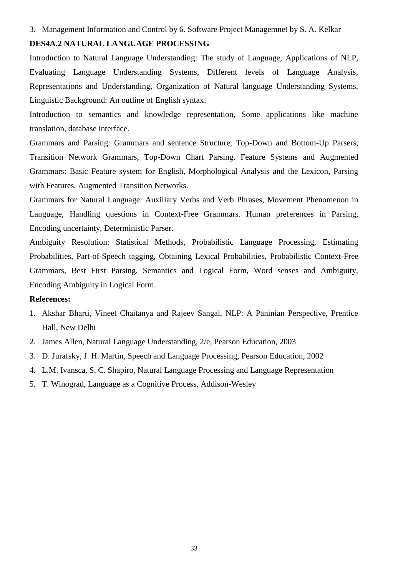#### 3. Management Information and Control by 6. Software Project Managemnet by S. A. Kelkar

# **DES4A.2 NATURAL LANGUAGE PROCESSING**

Introduction to Natural Language Understanding: The study of Language, Applications of NLP, Evaluating Language Understanding Systems, Different levels of Language Analysis, Representations and Understanding, Organization of Natural language Understanding Systems, Linguistic Background: An outline of English syntax.

Introduction to semantics and knowledge representation, Some applications like machine translation, database interface.

Grammars and Parsing: Grammars and sentence Structure, Top-Down and Bottom-Up Parsers, Transition Network Grammars, Top-Down Chart Parsing. Feature Systems and Augmented Grammars: Basic Feature system for English, Morphological Analysis and the Lexicon, Parsing with Features, Augmented Transition Networks.

Grammars for Natural Language: Auxiliary Verbs and Verb Phrases, Movement Phenomenon in Language, Handling questions in Context-Free Grammars. Human preferences in Parsing, Encoding uncertainty, Deterministic Parser.

Ambiguity Resolution: Statistical Methods, Probabilistic Language Processing, Estimating Probabilities, Part-of-Speech tagging, Obtaining Lexical Probabilities, Probabilistic Context-Free Grammars, Best First Parsing. Semantics and Logical Form, Word senses and Ambiguity, Encoding Ambiguity in Logical Form.

- 1. Akshar Bharti, Vineet Chaitanya and Rajeev Sangal, NLP: A Paninian Perspective, Prentice Hall, New Delhi
- 2. James Allen, Natural Language Understanding, 2/e, Pearson Education, 2003
- 3. D. Jurafsky, J. H. Martin, Speech and Language Processing, Pearson Education, 2002
- 4. L.M. Ivansca, S. C. Shapiro, Natural Language Processing and Language Representation
- 5. T. Winograd, Language as a Cognitive Process, Addison-Wesley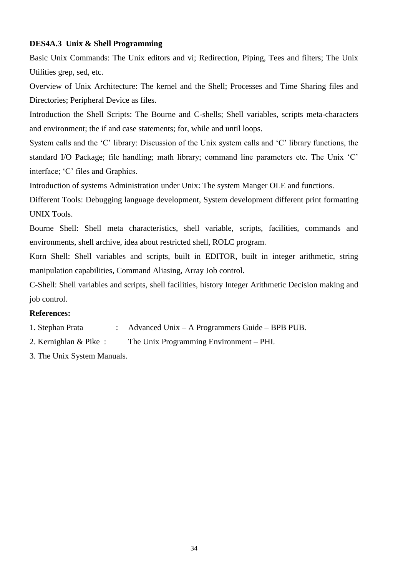# **DES4A.3 Unix & Shell Programming**

Basic Unix Commands: The Unix editors and vi; Redirection, Piping, Tees and filters; The Unix Utilities grep, sed, etc.

Overview of Unix Architecture: The kernel and the Shell; Processes and Time Sharing files and Directories; Peripheral Device as files.

Introduction the Shell Scripts: The Bourne and C-shells; Shell variables, scripts meta-characters and environment; the if and case statements; for, while and until loops.

System calls and the "C" library: Discussion of the Unix system calls and "C" library functions, the standard I/O Package; file handling; math library; command line parameters etc. The Unix "C" interface; "C" files and Graphics.

Introduction of systems Administration under Unix: The system Manger OLE and functions.

Different Tools: Debugging language development, System development different print formatting UNIX Tools.

Bourne Shell: Shell meta characteristics, shell variable, scripts, facilities, commands and environments, shell archive, idea about restricted shell, ROLC program.

Korn Shell: Shell variables and scripts, built in EDITOR, built in integer arithmetic, string manipulation capabilities, Command Aliasing, Array Job control.

C-Shell: Shell variables and scripts, shell facilities, history Integer Arithmetic Decision making and job control.

- 1. Stephan Prata : Advanced Unix A Programmers Guide BPB PUB.
- 2. Kernighlan & Pike : The Unix Programming Environment PHI.
- 3. The Unix System Manuals.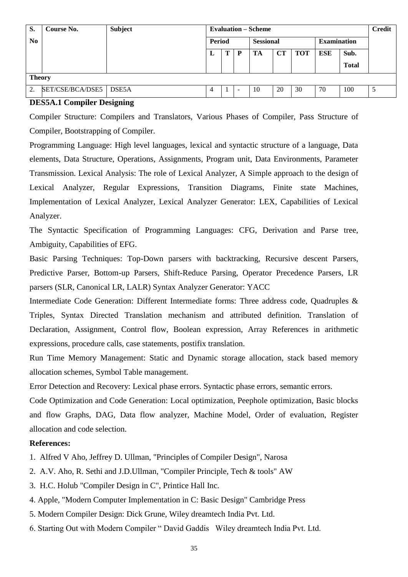| S.             | Course No.       | <b>Subject</b> | <b>Evaluation – Scheme</b> |   | <b>Credit</b>    |    |           |                    |     |              |   |
|----------------|------------------|----------------|----------------------------|---|------------------|----|-----------|--------------------|-----|--------------|---|
| N <sub>0</sub> |                  |                | Period                     |   | <b>Sessional</b> |    |           | <b>Examination</b> |     |              |   |
|                |                  |                | ப                          | m | D                | TA | <b>CT</b> | <b>TOT</b>         | ESE | Sub.         |   |
|                |                  |                |                            |   |                  |    |           |                    |     | <b>Total</b> |   |
|                | <b>Theory</b>    |                |                            |   |                  |    |           |                    |     |              |   |
| 2.             | SET/CSE/BCA/DSE5 | DSE5A          | 4                          |   |                  | 10 | 20        | 30                 | 70  | 100          | J |

## **DES5A.1 Compiler Designing**

Compiler Structure: Compilers and Translators, Various Phases of Compiler, Pass Structure of Compiler, Bootstrapping of Compiler.

Programming Language: High level languages, lexical and syntactic structure of a language, Data elements, Data Structure, Operations, Assignments, Program unit, Data Environments, Parameter Transmission. Lexical Analysis: The role of Lexical Analyzer, A Simple approach to the design of Lexical Analyzer, Regular Expressions, Transition Diagrams, Finite state Machines, Implementation of Lexical Analyzer, Lexical Analyzer Generator: LEX, Capabilities of Lexical Analyzer.

The Syntactic Specification of Programming Languages: CFG, Derivation and Parse tree, Ambiguity, Capabilities of EFG.

Basic Parsing Techniques: Top-Down parsers with backtracking, Recursive descent Parsers, Predictive Parser, Bottom-up Parsers, Shift-Reduce Parsing, Operator Precedence Parsers, LR parsers (SLR, Canonical LR, LALR) Syntax Analyzer Generator: YACC

Intermediate Code Generation: Different Intermediate forms: Three address code, Quadruples & Triples, Syntax Directed Translation mechanism and attributed definition. Translation of Declaration, Assignment, Control flow, Boolean expression, Array References in arithmetic expressions, procedure calls, case statements, postifix translation.

Run Time Memory Management: Static and Dynamic storage allocation, stack based memory allocation schemes, Symbol Table management.

Error Detection and Recovery: Lexical phase errors. Syntactic phase errors, semantic errors.

Code Optimization and Code Generation: Local optimization, Peephole optimization, Basic blocks and flow Graphs, DAG, Data flow analyzer, Machine Model, Order of evaluation, Register allocation and code selection.

- 1. Alfred V Aho, Jeffrey D. Ullman, "Principles of Compiler Design", Narosa
- 2. A.V. Aho, R. Sethi and J.D.Ullman, "Compiler Principle, Tech & tools" AW
- 3. H.C. Holub "Compiler Design in C", Printice Hall Inc.
- 4. Apple, "Modern Computer Implementation in C: Basic Design" Cambridge Press
- 5. Modern Compiler Design: Dick Grune, Wiley dreamtech India Pvt. Ltd.
- 6. Starting Out with Modern Compiler " David Gaddis Wiley dreamtech India Pvt. Ltd.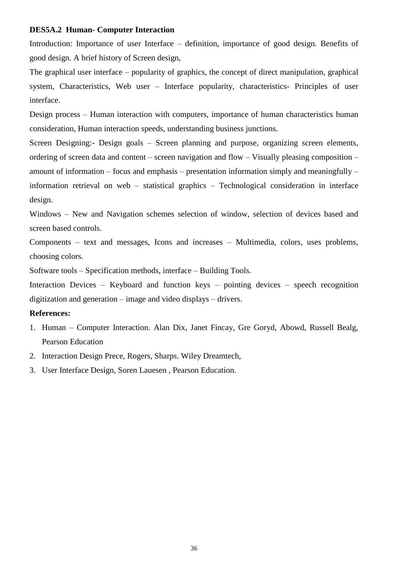## **DES5A.2 Human- Computer Interaction**

Introduction: Importance of user Interface – definition, importance of good design. Benefits of good design. A brief history of Screen design,

The graphical user interface – popularity of graphics, the concept of direct manipulation, graphical system, Characteristics, Web user – Interface popularity, characteristics- Principles of user interface.

Design process – Human interaction with computers, importance of human characteristics human consideration, Human interaction speeds, understanding business junctions.

Screen Designing:- Design goals – Screen planning and purpose, organizing screen elements, ordering of screen data and content – screen navigation and flow – Visually pleasing composition – amount of information – focus and emphasis – presentation information simply and meaningfully – information retrieval on web – statistical graphics – Technological consideration in interface design.

Windows – New and Navigation schemes selection of window, selection of devices based and screen based controls.

Components – text and messages, Icons and increases – Multimedia, colors, uses problems, choosing colors.

Software tools – Specification methods, interface – Building Tools.

Interaction Devices – Keyboard and function keys – pointing devices – speech recognition digitization and generation – image and video displays – drivers.

- 1. Human Computer Interaction. Alan Dix, Janet Fincay, Gre Goryd, Abowd, Russell Bealg, Pearson Education
- 2. Interaction Design Prece, Rogers, Sharps. Wiley Dreamtech,
- 3. User Interface Design, Soren Lauesen , Pearson Education.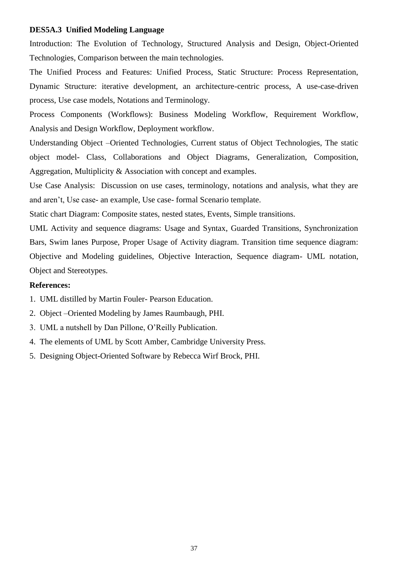# **DES5A.3 Unified Modeling Language**

Introduction: The Evolution of Technology, Structured Analysis and Design, Object-Oriented Technologies, Comparison between the main technologies.

The Unified Process and Features: Unified Process, Static Structure: Process Representation, Dynamic Structure: iterative development, an architecture-centric process, A use-case-driven process, Use case models, Notations and Terminology.

Process Components (Workflows): Business Modeling Workflow, Requirement Workflow, Analysis and Design Workflow, Deployment workflow.

Understanding Object –Oriented Technologies, Current status of Object Technologies, The static object model- Class, Collaborations and Object Diagrams, Generalization, Composition, Aggregation, Multiplicity & Association with concept and examples.

Use Case Analysis: Discussion on use cases, terminology, notations and analysis, what they are and aren"t, Use case- an example, Use case- formal Scenario template.

Static chart Diagram: Composite states, nested states, Events, Simple transitions.

UML Activity and sequence diagrams: Usage and Syntax, Guarded Transitions, Synchronization Bars, Swim lanes Purpose, Proper Usage of Activity diagram. Transition time sequence diagram: Objective and Modeling guidelines, Objective Interaction, Sequence diagram- UML notation, Object and Stereotypes.

- 1. UML distilled by Martin Fouler- Pearson Education.
- 2. Object –Oriented Modeling by James Raumbaugh, PHI.
- 3. UML a nutshell by Dan Pillone, O"Reilly Publication.
- 4. The elements of UML by Scott Amber, Cambridge University Press.
- 5. Designing Object-Oriented Software by Rebecca Wirf Brock, PHI.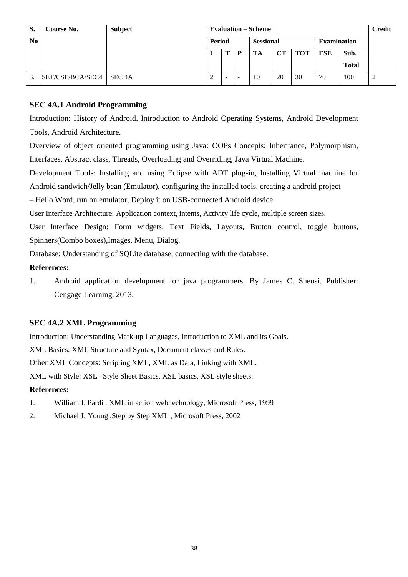| S.             | <b>Course No.</b>         | Subject | <b>Evaluation – Scheme</b> |   |                  |    |    |                    |     |              |  |
|----------------|---------------------------|---------|----------------------------|---|------------------|----|----|--------------------|-----|--------------|--|
| N <sub>0</sub> |                           |         | <b>Period</b>              |   | <b>Sessional</b> |    |    | <b>Examination</b> |     |              |  |
|                |                           |         | ⊥                          | π |                  | TA | CT | <b>TOT</b>         | ESE | Sub.         |  |
|                |                           |         |                            |   |                  |    |    |                    |     | <b>Total</b> |  |
| 3.             | SET/CSE/BCA/SEC4   SEC 4A |         |                            |   |                  | 10 | 20 | 30                 | 70  | 100          |  |

# **SEC 4A.1 Android Programming**

Introduction: History of Android, Introduction to Android Operating Systems, Android Development Tools, Android Architecture.

Overview of object oriented programming using Java: OOPs Concepts: Inheritance, Polymorphism, Interfaces, Abstract class, Threads, Overloading and Overriding, Java Virtual Machine.

Development Tools: Installing and using Eclipse with ADT plug-in, Installing Virtual machine for Android sandwich/Jelly bean (Emulator), configuring the installed tools, creating a android project

– Hello Word, run on emulator, Deploy it on USB-connected Android device.

User Interface Architecture: Application context, intents, Activity life cycle, multiple screen sizes.

User Interface Design: Form widgets, Text Fields, Layouts, Button control, toggle buttons, Spinners(Combo boxes),Images, Menu, Dialog.

Database: Understanding of SQLite database, connecting with the database.

# **References:**

1. Android application development for java programmers. By James C. Sheusi. Publisher: Cengage Learning, 2013.

# **SEC 4A.2 XML Programming**

Introduction: Understanding Mark-up Languages, Introduction to XML and its Goals.

XML Basics: XML Structure and Syntax, Document classes and Rules.

Other XML Concepts: Scripting XML, XML as Data, Linking with XML.

XML with Style: XSL –Style Sheet Basics, XSL basics, XSL style sheets.

- 1. William J. Pardi , XML in action web technology, Microsoft Press, 1999
- 2. Michael J. Young ,Step by Step XML , Microsoft Press, 2002